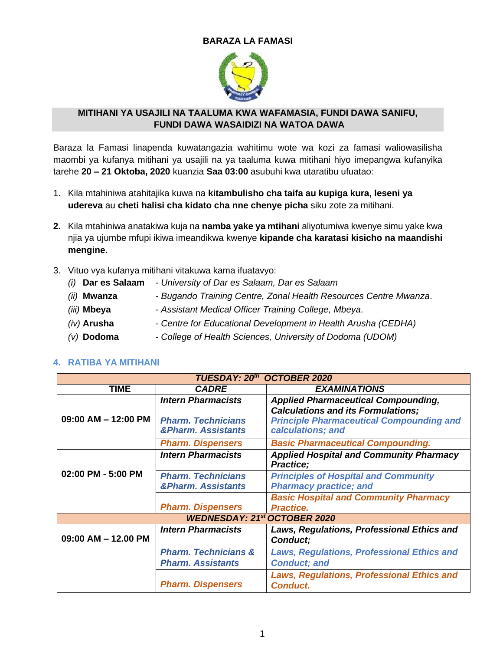### **BARAZA LA FAMASI**



### **MITIHANI YA USAJILI NA TAALUMA KWA WAFAMASIA, FUNDI DAWA SANIFU, FUNDI DAWA WASAIDIZI NA WATOA DAWA**

Baraza la Famasi linapenda kuwatangazia wahitimu wote wa kozi za famasi waliowasilisha maombi ya kufanya mitihani ya usajili na ya taaluma kuwa mitihani hiyo imepangwa kufanyika tarehe **20 – 21 Oktoba, 2020** kuanzia **Saa 03:00** asubuhi kwa utaratibu ufuatao:

- 1. Kila mtahiniwa atahitajika kuwa na **kitambulisho cha taifa au kupiga kura, leseni ya udereva** au **cheti halisi cha kidato cha nne chenye picha** siku zote za mitihani.
- **2.** Kila mtahiniwa anatakiwa kuja na **namba yake ya mtihani** aliyotumiwa kwenye simu yake kwa njia ya ujumbe mfupi ikiwa imeandikwa kwenye **kipande cha karatasi kisicho na maandishi mengine.**
- 3. Vituo vya kufanya mitihani vitakuwa kama ifuatavyo:
	- *(i)* **Dar es Salaam**  *University of Dar es Salaam, Dar es Salaam*
	- *(ii)* **Mwanza** *Bugando Training Centre, Zonal Health Resources Centre Mwanza*.
	- *(iii)* **Mbeya** *Assistant Medical Officer Training College, Mbeya*.
	- *(iv)* **Arusha** *- Centre for Educational Development in Health Arusha (CEDHA)*
	- *(v)* **Dodoma** *College of Health Sciences, University of Dodoma (UDOM)*

| TUESDAY: 20th OCTOBER 2020 |                                                 |                                                                                         |  |  |  |
|----------------------------|-------------------------------------------------|-----------------------------------------------------------------------------------------|--|--|--|
| <b>TIME</b>                | <b>CADRE</b>                                    | <b>EXAMINATIONS</b>                                                                     |  |  |  |
|                            | <b>Intern Pharmacists</b>                       | <b>Applied Pharmaceutical Compounding,</b><br><b>Calculations and its Formulations;</b> |  |  |  |
| $09:00$ AM $-$ 12:00 PM    | <b>Pharm. Technicians</b><br>&Pharm. Assistants | <b>Principle Pharmaceutical Compounding and</b><br>calculations; and                    |  |  |  |
|                            | <b>Pharm. Dispensers</b>                        | <b>Basic Pharmaceutical Compounding.</b>                                                |  |  |  |
|                            | <b>Intern Pharmacists</b>                       | <b>Applied Hospital and Community Pharmacy</b><br><b>Practice</b> ;                     |  |  |  |
| 02:00 PM - 5:00 PM         | <b>Pharm. Technicians</b>                       | <b>Principles of Hospital and Community</b>                                             |  |  |  |
|                            | <b>&amp;Pharm. Assistants</b>                   | <b>Pharmacy practice; and</b>                                                           |  |  |  |
|                            |                                                 | <b>Basic Hospital and Community Pharmacy</b>                                            |  |  |  |
|                            | <b>Pharm. Dispensers</b>                        | <b>Practice.</b>                                                                        |  |  |  |
|                            | <b>WEDNESDAY: 21st OCTOBER 2020</b>             |                                                                                         |  |  |  |
|                            | <b>Intern Pharmacists</b>                       | Laws, Regulations, Professional Ethics and                                              |  |  |  |
| 09:00 AM - 12.00 PM        |                                                 | Conduct;                                                                                |  |  |  |
|                            | <b>Pharm. Technicians &amp;</b>                 | <b>Laws, Regulations, Professional Ethics and</b>                                       |  |  |  |
|                            | <b>Pharm. Assistants</b>                        | <b>Conduct; and</b>                                                                     |  |  |  |
|                            | <b>Pharm. Dispensers</b>                        | <b>Laws, Regulations, Professional Ethics and</b><br><b>Conduct.</b>                    |  |  |  |

### **4. RATIBA YA MITIHANI**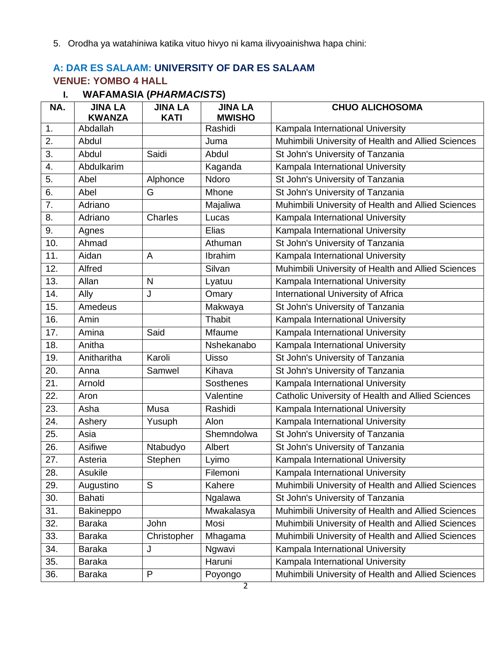5. Orodha ya watahiniwa katika vituo hivyo ni kama ilivyoainishwa hapa chini:

## **A: DAR ES SALAAM: UNIVERSITY OF DAR ES SALAAM VENUE: YOMBO 4 HALL**

| NA. | <b>JINA LA</b><br><b>KWANZA</b> | <b>JINA LA</b><br><b>KATI</b> | <b>JINA LA</b><br><b>MWISHO</b> | <b>CHUO ALICHOSOMA</b>                             |
|-----|---------------------------------|-------------------------------|---------------------------------|----------------------------------------------------|
| 1.  | Abdallah                        |                               | Rashidi                         | Kampala International University                   |
| 2.  | Abdul                           |                               | Juma                            | Muhimbili University of Health and Allied Sciences |
| 3.  | Abdul                           | Saidi                         | Abdul                           | St John's University of Tanzania                   |
| 4.  | Abdulkarim                      |                               | Kaganda                         | Kampala International University                   |
| 5.  | Abel                            | Alphonce                      | Ndoro                           | St John's University of Tanzania                   |
| 6.  | Abel                            | G                             | Mhone                           | St John's University of Tanzania                   |
| 7.  | Adriano                         |                               | Majaliwa                        | Muhimbili University of Health and Allied Sciences |
| 8.  | Adriano                         | Charles                       | Lucas                           | Kampala International University                   |
| 9.  | Agnes                           |                               | Elias                           | Kampala International University                   |
| 10. | Ahmad                           |                               | Athuman                         | St John's University of Tanzania                   |
| 11. | Aidan                           | A                             | Ibrahim                         | Kampala International University                   |
| 12. | Alfred                          |                               | Silvan                          | Muhimbili University of Health and Allied Sciences |
| 13. | Allan                           | $\mathsf{N}$                  | Lyatuu                          | Kampala International University                   |
| 14. | Ally                            | J                             | Omary                           | International University of Africa                 |
| 15. | Amedeus                         |                               | Makwaya                         | St John's University of Tanzania                   |
| 16. | Amin                            |                               | Thabit                          | Kampala International University                   |
| 17. | Amina                           | Said                          | Mfaume                          | Kampala International University                   |
| 18. | Anitha                          |                               | Nshekanabo                      | Kampala International University                   |
| 19. | Anitharitha                     | Karoli                        | Uisso                           | St John's University of Tanzania                   |
| 20. | Anna                            | Samwel                        | Kihava                          | St John's University of Tanzania                   |
| 21. | Arnold                          |                               | <b>Sosthenes</b>                | Kampala International University                   |
| 22. | Aron                            |                               | Valentine                       | Catholic University of Health and Allied Sciences  |
| 23. | Asha                            | Musa                          | Rashidi                         | Kampala International University                   |
| 24. | Ashery                          | Yusuph                        | Alon                            | Kampala International University                   |
| 25. | Asia                            |                               | Shemndolwa                      | St John's University of Tanzania                   |
| 26. | Asifiwe                         | Ntabudyo                      | Albert                          | St John's University of Tanzania                   |
| 27. | Asteria                         | Stephen                       | Lyimo                           | Kampala International University                   |
| 28. | Asukile                         |                               | Filemoni                        | Kampala International University                   |
| 29. | Augustino                       | S                             | Kahere                          | Muhimbili University of Health and Allied Sciences |
| 30. | Bahati                          |                               | Ngalawa                         | St John's University of Tanzania                   |
| 31. | Bakineppo                       |                               | Mwakalasya                      | Muhimbili University of Health and Allied Sciences |
| 32. | Baraka                          | John                          | Mosi                            | Muhimbili University of Health and Allied Sciences |
| 33. | <b>Baraka</b>                   | Christopher                   | Mhagama                         | Muhimbili University of Health and Allied Sciences |
| 34. | Baraka                          | J                             | Ngwavi                          | Kampala International University                   |
| 35. | <b>Baraka</b>                   |                               | Haruni                          | Kampala International University                   |
| 36. | <b>Baraka</b>                   | P                             | Poyongo                         | Muhimbili University of Health and Allied Sciences |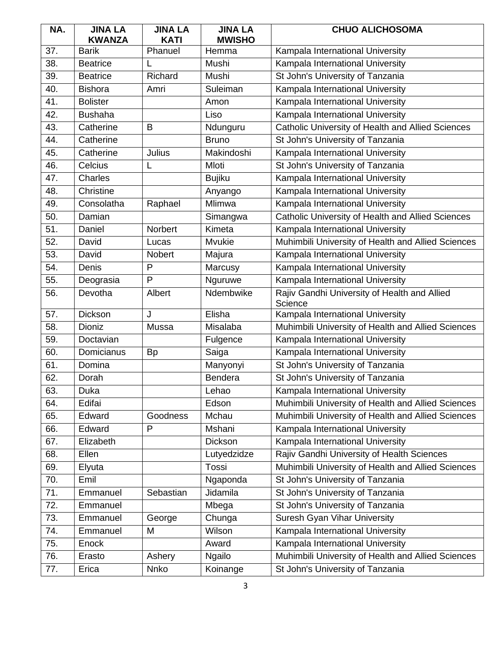| NA. | <b>JINA LA</b>                | <b>JINA LA</b>         | <b>JINA LA</b>         | <b>CHUO ALICHOSOMA</b>                                  |
|-----|-------------------------------|------------------------|------------------------|---------------------------------------------------------|
| 37. | <b>KWANZA</b><br><b>Barik</b> | <b>KATI</b><br>Phanuel | <b>MWISHO</b><br>Hemma | Kampala International University                        |
| 38. | <b>Beatrice</b>               | L                      | Mushi                  | Kampala International University                        |
| 39. | <b>Beatrice</b>               | Richard                | Mushi                  | St John's University of Tanzania                        |
| 40. | <b>Bishora</b>                | Amri                   | Suleiman               | Kampala International University                        |
| 41. | <b>Bolister</b>               |                        |                        |                                                         |
|     |                               |                        | Amon                   | Kampala International University                        |
| 42. | <b>Bushaha</b>                |                        | Liso                   | Kampala International University                        |
| 43. | Catherine                     | B                      | Ndunguru               | Catholic University of Health and Allied Sciences       |
| 44. | Catherine                     |                        | <b>Bruno</b>           | St John's University of Tanzania                        |
| 45. | Catherine                     | Julius                 | Makindoshi             | Kampala International University                        |
| 46. | Celcius                       | L                      | Mloti                  | St John's University of Tanzania                        |
| 47. | Charles                       |                        | <b>Bujiku</b>          | Kampala International University                        |
| 48. | Christine                     |                        | Anyango                | Kampala International University                        |
| 49. | Consolatha                    | Raphael                | Mlimwa                 | Kampala International University                        |
| 50. | Damian                        |                        | Simangwa               | Catholic University of Health and Allied Sciences       |
| 51. | Daniel                        | Norbert                | Kimeta                 | Kampala International University                        |
| 52. | David                         | Lucas                  | Mvukie                 | Muhimbili University of Health and Allied Sciences      |
| 53. | David                         | Nobert                 | Majura                 | Kampala International University                        |
| 54. | Denis                         | P                      | Marcusy                | Kampala International University                        |
| 55. | Deograsia                     | P                      | Nguruwe                | Kampala International University                        |
| 56. | Devotha                       | Albert                 | Ndembwike              | Rajiv Gandhi University of Health and Allied<br>Science |
| 57. | Dickson                       | J                      | Elisha                 | Kampala International University                        |
| 58. | Dioniz                        | Mussa                  | Misalaba               | Muhimbili University of Health and Allied Sciences      |
| 59. | Doctavian                     |                        | Fulgence               | Kampala International University                        |
| 60. | Domicianus                    | <b>Bp</b>              | Saiga                  | Kampala International University                        |
| 61. | Domina                        |                        | Manyonyi               | St John's University of Tanzania                        |
| 62. | Dorah                         |                        | Bendera                | St John's University of Tanzania                        |
| 63. | Duka                          |                        | Lehao                  | Kampala International University                        |
| 64. | Edifai                        |                        | Edson                  | Muhimbili University of Health and Allied Sciences      |
| 65. | Edward                        | Goodness               | Mchau                  | Muhimbili University of Health and Allied Sciences      |
| 66. | Edward                        | P                      | Mshani                 | Kampala International University                        |
| 67. | Elizabeth                     |                        | Dickson                | Kampala International University                        |
| 68. | Ellen                         |                        | Lutyedzidze            | Rajiv Gandhi University of Health Sciences              |
| 69. | Elyuta                        |                        | Tossi                  | Muhimbili University of Health and Allied Sciences      |
| 70. | Emil                          |                        | Ngaponda               | St John's University of Tanzania                        |
| 71. | Emmanuel                      | Sebastian              | Jidamila               | St John's University of Tanzania                        |
| 72. | Emmanuel                      |                        | Mbega                  | St John's University of Tanzania                        |
| 73. | Emmanuel                      | George                 | Chunga                 | Suresh Gyan Vihar University                            |
| 74. | Emmanuel                      | M                      | Wilson                 | Kampala International University                        |
| 75. | Enock                         |                        | Award                  | Kampala International University                        |
| 76. | Erasto                        | Ashery                 | <b>Ngailo</b>          | Muhimbili University of Health and Allied Sciences      |
| 77. | Erica                         | Nnko                   | Koinange               | St John's University of Tanzania                        |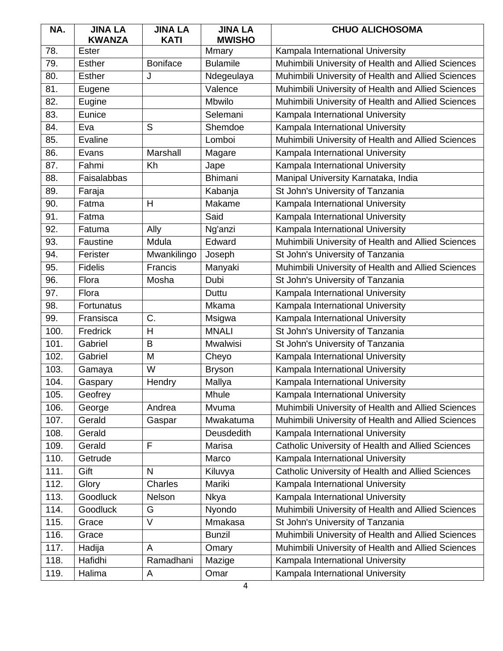| NA.  | <b>JINA LA</b><br><b>KWANZA</b> | <b>JINA LA</b><br><b>KATI</b> | <b>JINA LA</b><br><b>MWISHO</b> | <b>CHUO ALICHOSOMA</b>                             |
|------|---------------------------------|-------------------------------|---------------------------------|----------------------------------------------------|
| 78.  | Ester                           |                               | Mmary                           | Kampala International University                   |
| 79.  | <b>Esther</b>                   | <b>Boniface</b>               | <b>Bulamile</b>                 | Muhimbili University of Health and Allied Sciences |
| 80.  | <b>Esther</b>                   | J                             | Ndegeulaya                      | Muhimbili University of Health and Allied Sciences |
| 81.  | Eugene                          |                               | Valence                         | Muhimbili University of Health and Allied Sciences |
| 82.  | Eugine                          |                               | Mbwilo                          | Muhimbili University of Health and Allied Sciences |
| 83.  | Eunice                          |                               | Selemani                        | Kampala International University                   |
| 84.  | Eva                             | S                             | Shemdoe                         | Kampala International University                   |
| 85.  | Evaline                         |                               | Lomboi                          | Muhimbili University of Health and Allied Sciences |
| 86.  | Evans                           | Marshall                      | Magare                          | Kampala International University                   |
| 87.  | Fahmi                           | Kh                            | Jape                            | Kampala International University                   |
| 88.  | Faisalabbas                     |                               | <b>Bhimani</b>                  | Manipal University Karnataka, India                |
| 89.  | Faraja                          |                               | Kabanja                         | St John's University of Tanzania                   |
| 90.  | Fatma                           | H                             | Makame                          | Kampala International University                   |
| 91.  | Fatma                           |                               | Said                            | Kampala International University                   |
| 92.  | Fatuma                          | Ally                          | Ng'anzi                         | Kampala International University                   |
| 93.  | Faustine                        | Mdula                         | Edward                          | Muhimbili University of Health and Allied Sciences |
| 94.  | Ferister                        | Mwankilingo                   | Joseph                          | St John's University of Tanzania                   |
| 95.  | <b>Fidelis</b>                  | Francis                       | Manyaki                         | Muhimbili University of Health and Allied Sciences |
| 96.  | Flora                           | Mosha                         | Dubi                            | St John's University of Tanzania                   |
| 97.  | Flora                           |                               | Duttu                           | Kampala International University                   |
| 98.  | Fortunatus                      |                               | Mkama                           | Kampala International University                   |
| 99.  | Fransisca                       | C.                            | Msigwa                          | Kampala International University                   |
| 100. | Fredrick                        | H                             | <b>MNALI</b>                    | St John's University of Tanzania                   |
| 101. | Gabriel                         | B                             | <b>Mwalwisi</b>                 | St John's University of Tanzania                   |
| 102. | Gabriel                         | M                             | Cheyo                           | Kampala International University                   |
| 103. | Gamaya                          | W                             | <b>Bryson</b>                   | Kampala International University                   |
| 104. | Gaspary                         | Hendry                        | Mallya                          | Kampala International University                   |
| 105. | Geofrey                         |                               | Mhule                           | Kampala International University                   |
| 106. | George                          | Andrea                        | Mvuma                           | Muhimbili University of Health and Allied Sciences |
| 107. | Gerald                          | Gaspar                        | Mwakatuma                       | Muhimbili University of Health and Allied Sciences |
| 108. | Gerald                          |                               | <b>Deusdedith</b>               | Kampala International University                   |
| 109. | Gerald                          | F                             | Marisa                          | Catholic University of Health and Allied Sciences  |
| 110. | Getrude                         |                               | Marco                           | Kampala International University                   |
| 111. | Gift                            | N                             | Kiluvya                         | Catholic University of Health and Allied Sciences  |
| 112. | Glory                           | Charles                       | Mariki                          | Kampala International University                   |
| 113. | <b>Goodluck</b>                 | Nelson                        | <b>Nkya</b>                     | Kampala International University                   |
| 114. | Goodluck                        | G                             | Nyondo                          | Muhimbili University of Health and Allied Sciences |
| 115. | Grace                           | $\vee$                        | Mmakasa                         | St John's University of Tanzania                   |
| 116. | Grace                           |                               | <b>Bunzil</b>                   | Muhimbili University of Health and Allied Sciences |
| 117. | Hadija                          | A                             | Omary                           | Muhimbili University of Health and Allied Sciences |
| 118. | Hafidhi                         | Ramadhani                     | Mazige                          | Kampala International University                   |
| 119. | Halima                          | A                             | Omar                            | Kampala International University                   |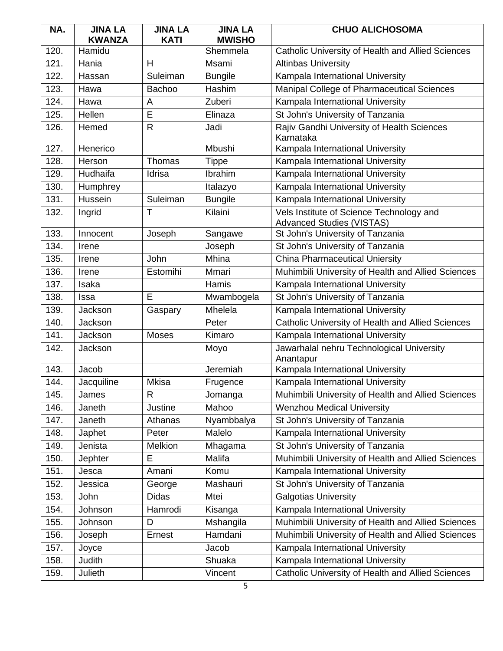| NA.  | <b>JINA LA</b><br><b>KWANZA</b> | <b>JINA LA</b><br><b>KATI</b> | <b>JINA LA</b><br><b>MWISHO</b> | <b>CHUO ALICHOSOMA</b>                                                       |
|------|---------------------------------|-------------------------------|---------------------------------|------------------------------------------------------------------------------|
| 120. | Hamidu                          |                               | Shemmela                        | Catholic University of Health and Allied Sciences                            |
| 121. | Hania                           | H                             | Msami                           | <b>Altinbas University</b>                                                   |
| 122. | Hassan                          | Suleiman                      | <b>Bungile</b>                  | Kampala International University                                             |
| 123. | Hawa                            | <b>Bachoo</b>                 | Hashim                          | Manipal College of Pharmaceutical Sciences                                   |
| 124. | Hawa                            | A                             | Zuberi                          | Kampala International University                                             |
| 125. | Hellen                          | E                             | Elinaza                         | St John's University of Tanzania                                             |
| 126. | Hemed                           | $\mathsf{R}$                  | Jadi                            | Rajiv Gandhi University of Health Sciences<br>Karnataka                      |
| 127. | Henerico                        |                               | Mbushi                          | Kampala International University                                             |
| 128. | Herson                          | Thomas                        | <b>Tippe</b>                    | Kampala International University                                             |
| 129. | Hudhaifa                        | Idrisa                        | Ibrahim                         | Kampala International University                                             |
| 130. | Humphrey                        |                               | Italazyo                        | Kampala International University                                             |
| 131. | Hussein                         | Suleiman                      | <b>Bungile</b>                  | Kampala International University                                             |
| 132. | Ingrid                          | $\top$                        | Kilaini                         | Vels Institute of Science Technology and<br><b>Advanced Studies (VISTAS)</b> |
| 133. | Innocent                        | Joseph                        | Sangawe                         | St John's University of Tanzania                                             |
| 134. | Irene                           |                               | Joseph                          | St John's University of Tanzania                                             |
| 135. | Irene                           | John                          | Mhina                           | <b>China Pharmaceutical Uniersity</b>                                        |
| 136. | Irene                           | Estomihi                      | Mmari                           | Muhimbili University of Health and Allied Sciences                           |
| 137. | Isaka                           |                               | Hamis                           | Kampala International University                                             |
| 138. | Issa                            | E                             | Mwambogela                      | St John's University of Tanzania                                             |
| 139. | Jackson                         | Gaspary                       | Mhelela                         | Kampala International University                                             |
| 140. | Jackson                         |                               | Peter                           | Catholic University of Health and Allied Sciences                            |
| 141. | Jackson                         | Moses                         | Kimaro                          | Kampala International University                                             |
| 142. | Jackson                         |                               | Moyo                            | Jawarhalal nehru Technological University<br>Anantapur                       |
| 143. | Jacob                           |                               | Jeremiah                        | Kampala International University                                             |
| 144. | Jacquiline                      | <b>Mkisa</b>                  | Frugence                        | Kampala International University                                             |
| 145. | James                           | R                             | Jomanga                         | Muhimbili University of Health and Allied Sciences                           |
| 146. | Janeth                          | Justine                       | Mahoo                           | <b>Wenzhou Medical University</b>                                            |
| 147. | Janeth                          | Athanas                       | Nyambbalya                      | St John's University of Tanzania                                             |
| 148. | Japhet                          | Peter                         | Malelo                          | Kampala International University                                             |
| 149. | Jenista                         | Melkion                       | Mhagama                         | St John's University of Tanzania                                             |
| 150. | Jephter                         | E                             | Malifa                          | Muhimbili University of Health and Allied Sciences                           |
| 151. | Jesca                           | Amani                         | Komu                            | Kampala International University                                             |
| 152. | Jessica                         | George                        | Mashauri                        | St John's University of Tanzania                                             |
| 153. | John                            | <b>Didas</b>                  | Mtei                            | <b>Galgotias University</b>                                                  |
| 154. | Johnson                         | Hamrodi                       | Kisanga                         | Kampala International University                                             |
| 155. | Johnson                         | D                             | Mshangila                       | Muhimbili University of Health and Allied Sciences                           |
| 156. | Joseph                          | Ernest                        | Hamdani                         | Muhimbili University of Health and Allied Sciences                           |
| 157. | Joyce                           |                               | Jacob                           | Kampala International University                                             |
| 158. | Judith                          |                               | Shuaka                          | Kampala International University                                             |
| 159. | Julieth                         |                               | Vincent                         | Catholic University of Health and Allied Sciences                            |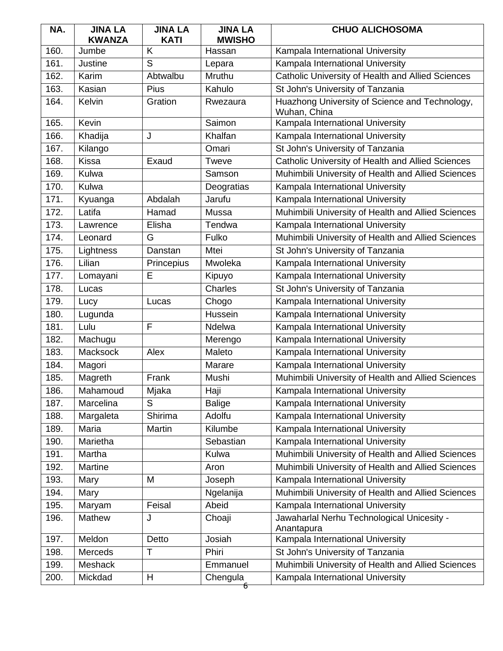| NA.  | <b>JINA LA</b><br><b>KWANZA</b> | <b>JINA LA</b><br><b>KATI</b> | <b>JINA LA</b><br><b>MWISHO</b> | <b>CHUO ALICHOSOMA</b>                                         |
|------|---------------------------------|-------------------------------|---------------------------------|----------------------------------------------------------------|
| 160. | Jumbe                           | K                             | Hassan                          | Kampala International University                               |
| 161. | Justine                         | S                             | Lepara                          | Kampala International University                               |
| 162. | Karim                           | Abtwalbu                      | Mruthu                          | Catholic University of Health and Allied Sciences              |
| 163. | Kasian                          | Pius                          | Kahulo                          | St John's University of Tanzania                               |
| 164. | Kelvin                          | Gration                       | Rwezaura                        | Huazhong University of Science and Technology,<br>Wuhan, China |
| 165. | Kevin                           |                               | Saimon                          | Kampala International University                               |
| 166. | Khadija                         | J                             | Khalfan                         | Kampala International University                               |
| 167. | Kilango                         |                               | Omari                           | St John's University of Tanzania                               |
| 168. | Kissa                           | Exaud                         | Tweve                           | Catholic University of Health and Allied Sciences              |
| 169. | Kulwa                           |                               | Samson                          | Muhimbili University of Health and Allied Sciences             |
| 170. | Kulwa                           |                               | Deogratias                      | Kampala International University                               |
| 171. | Kyuanga                         | Abdalah                       | Jarufu                          | Kampala International University                               |
| 172. | Latifa                          | Hamad                         | Mussa                           | Muhimbili University of Health and Allied Sciences             |
| 173. | Lawrence                        | Elisha                        | Tendwa                          | Kampala International University                               |
| 174. | Leonard                         | G                             | Fulko                           | Muhimbili University of Health and Allied Sciences             |
| 175. | Lightness                       | Danstan                       | Mtei                            | St John's University of Tanzania                               |
| 176. | Lilian                          | Princepius                    | Mwoleka                         | Kampala International University                               |
| 177. | Lomayani                        | E                             | Kipuyo                          | Kampala International University                               |
| 178. | Lucas                           |                               | Charles                         | St John's University of Tanzania                               |
| 179. | Lucy                            | Lucas                         | Chogo                           | Kampala International University                               |
| 180. | Lugunda                         |                               | Hussein                         | Kampala International University                               |
| 181. | Lulu                            | F                             | Ndelwa                          | Kampala International University                               |
| 182. | Machugu                         |                               | Merengo                         | Kampala International University                               |
| 183. | Macksock                        | Alex                          | Maleto                          | Kampala International University                               |
| 184. | Magori                          |                               | Marare                          | Kampala International University                               |
| 185. | Magreth                         | Frank                         | Mushi                           | Muhimbili University of Health and Allied Sciences             |
| 186. | Mahamoud                        | Mjaka                         | Haji                            | Kampala International University                               |
| 187. | Marcelina                       | S                             | <b>Balige</b>                   | Kampala International University                               |
| 188. | Margaleta                       | Shirima                       | Adolfu                          | Kampala International University                               |
| 189. | Maria                           | Martin                        | Kilumbe                         | Kampala International University                               |
| 190. | Marietha                        |                               | Sebastian                       | Kampala International University                               |
| 191. | Martha                          |                               | Kulwa                           | Muhimbili University of Health and Allied Sciences             |
| 192. | Martine                         |                               | Aron                            | Muhimbili University of Health and Allied Sciences             |
| 193. | Mary                            | M                             | Joseph                          | Kampala International University                               |
| 194. | Mary                            |                               | Ngelanija                       | Muhimbili University of Health and Allied Sciences             |
| 195. | Maryam                          | Feisal                        | Abeid                           | Kampala International University                               |
| 196. | Mathew                          | J                             | Choaji                          | Jawaharlal Nerhu Technological Unicesity -<br>Anantapura       |
| 197. | Meldon                          | Detto                         | Josiah                          | Kampala International University                               |
| 198. | Merceds                         | T                             | Phiri                           | St John's University of Tanzania                               |
| 199. | <b>Meshack</b>                  |                               | Emmanuel                        | Muhimbili University of Health and Allied Sciences             |
| 200. | Mickdad                         | H                             | Chengula                        | Kampala International University                               |
|      |                                 |                               | б                               |                                                                |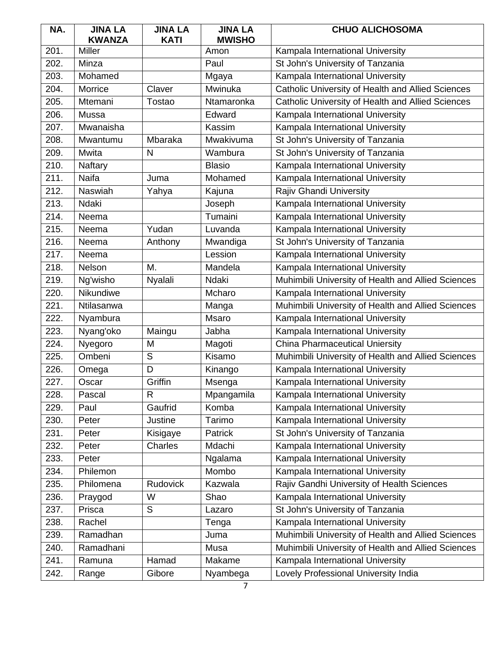| NA.  | <b>JINA LA</b><br><b>KWANZA</b> | <b>JINA LA</b><br><b>KATI</b> | <b>JINA LA</b><br><b>MWISHO</b> | <b>CHUO ALICHOSOMA</b>                             |
|------|---------------------------------|-------------------------------|---------------------------------|----------------------------------------------------|
| 201. | <b>Miller</b>                   |                               | Amon                            | Kampala International University                   |
| 202. | Minza                           |                               | Paul                            | St John's University of Tanzania                   |
| 203. | Mohamed                         |                               | Mgaya                           | Kampala International University                   |
| 204. | Morrice                         | Claver                        | Mwinuka                         | Catholic University of Health and Allied Sciences  |
| 205. | Mtemani                         | Tostao                        | Ntamaronka                      | Catholic University of Health and Allied Sciences  |
| 206. | Mussa                           |                               | Edward                          | Kampala International University                   |
| 207. | Mwanaisha                       |                               | Kassim                          | Kampala International University                   |
| 208. | Mwantumu                        | Mbaraka                       | Mwakivuma                       | St John's University of Tanzania                   |
| 209. | Mwita                           | N                             | Wambura                         | St John's University of Tanzania                   |
| 210. | Naftary                         |                               | <b>Blasio</b>                   | Kampala International University                   |
| 211. | Naifa                           | Juma                          | Mohamed                         | Kampala International University                   |
| 212. | <b>Naswiah</b>                  | Yahya                         | Kajuna                          | Rajiv Ghandi University                            |
| 213. | Ndaki                           |                               | Joseph                          | Kampala International University                   |
| 214. | Neema                           |                               | Tumaini                         | Kampala International University                   |
| 215. | Neema                           | Yudan                         | Luvanda                         | Kampala International University                   |
| 216. | Neema                           | Anthony                       | Mwandiga                        | St John's University of Tanzania                   |
| 217. | Neema                           |                               | Lession                         | Kampala International University                   |
| 218. | Nelson                          | M.                            | Mandela                         | Kampala International University                   |
| 219. | Ng'wisho                        | Nyalali                       | Ndaki                           | Muhimbili University of Health and Allied Sciences |
| 220. | Nikundiwe                       |                               | Mcharo                          | Kampala International University                   |
| 221. | Ntilasanwa                      |                               | Manga                           | Muhimbili University of Health and Allied Sciences |
| 222. | Nyambura                        |                               | Msaro                           | Kampala International University                   |
| 223. | Nyang'oko                       | Maingu                        | Jabha                           | Kampala International University                   |
| 224. | Nyegoro                         | M                             | Magoti                          | <b>China Pharmaceutical Uniersity</b>              |
| 225. | Ombeni                          | $\overline{S}$                | Kisamo                          | Muhimbili University of Health and Allied Sciences |
| 226. | Omega                           | D                             | Kinango                         | Kampala International University                   |
| 227. | Oscar                           | Griffin                       | Msenga                          | Kampala International University                   |
| 228. | Pascal                          | R                             | Mpangamila                      | Kampala International University                   |
| 229. | Paul                            | Gaufrid                       | Komba                           | Kampala International University                   |
| 230. | Peter                           | Justine                       | Tarimo                          | Kampala International University                   |
| 231. | Peter                           | Kisigaye                      | Patrick                         | St John's University of Tanzania                   |
| 232. | Peter                           | Charles                       | Mdachi                          | Kampala International University                   |
| 233. | Peter                           |                               | Ngalama                         | Kampala International University                   |
| 234. | Philemon                        |                               | Mombo                           | Kampala International University                   |
| 235. | Philomena                       | <b>Rudovick</b>               | Kazwala                         | Rajiv Gandhi University of Health Sciences         |
| 236. | Praygod                         | W                             | Shao                            | Kampala International University                   |
| 237. | Prisca                          | S                             | Lazaro                          | St John's University of Tanzania                   |
| 238. | Rachel                          |                               | Tenga                           | Kampala International University                   |
| 239. | Ramadhan                        |                               | Juma                            | Muhimbili University of Health and Allied Sciences |
| 240. | Ramadhani                       |                               | Musa                            | Muhimbili University of Health and Allied Sciences |
| 241. | Ramuna                          | Hamad                         | Makame                          | Kampala International University                   |
| 242. | Range                           | Gibore                        | Nyambega                        | Lovely Professional University India               |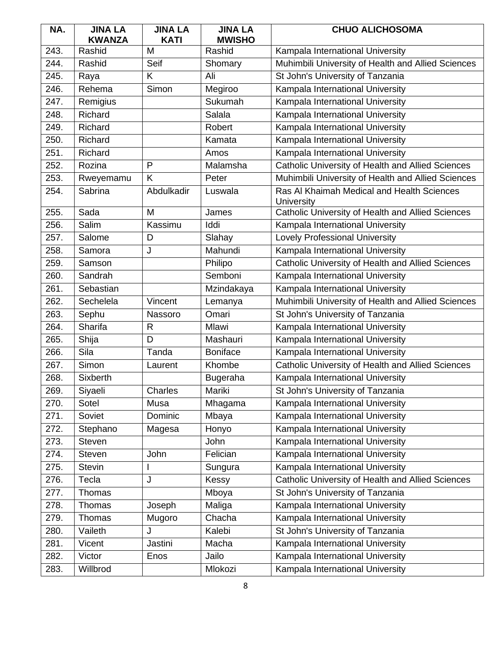| NA.  | <b>JINA LA</b>          | <b>JINA LA</b>   | <b>JINA LA</b>          | <b>CHUO ALICHOSOMA</b>                                   |
|------|-------------------------|------------------|-------------------------|----------------------------------------------------------|
| 243. | <b>KWANZA</b><br>Rashid | <b>KATI</b><br>M | <b>MWISHO</b><br>Rashid | Kampala International University                         |
| 244. | Rashid                  | Seif             |                         |                                                          |
| 245. |                         | K                | Shomary<br>Ali          | Muhimbili University of Health and Allied Sciences       |
|      | Raya                    |                  |                         | St John's University of Tanzania                         |
| 246. | Rehema                  | Simon            | Megiroo                 | Kampala International University                         |
| 247. | Remigius                |                  | Sukumah                 | Kampala International University                         |
| 248. | Richard                 |                  | Salala                  | Kampala International University                         |
| 249. | Richard                 |                  | Robert                  | Kampala International University                         |
| 250. | Richard                 |                  | Kamata                  | Kampala International University                         |
| 251. | Richard                 |                  | Amos                    | Kampala International University                         |
| 252. | Rozina                  | P                | Malamsha                | Catholic University of Health and Allied Sciences        |
| 253. | Rweyemamu               | K                | Peter                   | Muhimbili University of Health and Allied Sciences       |
| 254. | Sabrina                 | Abdulkadir       | Luswala                 | Ras Al Khaimah Medical and Health Sciences<br>University |
| 255. | Sada                    | M                | James                   | Catholic University of Health and Allied Sciences        |
| 256. | Salim                   | Kassimu          | Iddi                    | Kampala International University                         |
| 257. | Salome                  | D                | Slahay                  | <b>Lovely Professional University</b>                    |
| 258. | Samora                  | J                | Mahundi                 | Kampala International University                         |
| 259. | Samson                  |                  | Philipo                 | Catholic University of Health and Allied Sciences        |
| 260. | Sandrah                 |                  | Semboni                 | Kampala International University                         |
| 261. | Sebastian               |                  | Mzindakaya              | Kampala International University                         |
| 262. | Sechelela               | Vincent          | Lemanya                 | Muhimbili University of Health and Allied Sciences       |
| 263. | Sephu                   | Nassoro          | Omari                   | St John's University of Tanzania                         |
| 264. | Sharifa                 | $\mathsf{R}$     | Mlawi                   | Kampala International University                         |
| 265. | Shija                   | D                | Mashauri                | Kampala International University                         |
| 266. | Sila                    | Tanda            | <b>Boniface</b>         | Kampala International University                         |
| 267. | Simon                   | Laurent          | Khombe                  | Catholic University of Health and Allied Sciences        |
| 268. | Sixberth                |                  | Bugeraha                | Kampala International University                         |
| 269. | Siyaeli                 | Charles          | Mariki                  | St John's University of Tanzania                         |
| 270. | Sotel                   | Musa             | Mhagama                 | Kampala International University                         |
| 271. | Soviet                  | Dominic          | Mbaya                   | Kampala International University                         |
| 272. | Stephano                | Magesa           | Honyo                   | Kampala International University                         |
| 273. | <b>Steven</b>           |                  | John                    | Kampala International University                         |
| 274. | <b>Steven</b>           | John             | Felician                | Kampala International University                         |
| 275. | <b>Stevin</b>           |                  | Sungura                 | Kampala International University                         |
| 276. | Tecla                   | J                | Kessy                   | Catholic University of Health and Allied Sciences        |
| 277. | Thomas                  |                  | Mboya                   | St John's University of Tanzania                         |
| 278. | Thomas                  | Joseph           | Maliga                  | Kampala International University                         |
| 279. | Thomas                  | Mugoro           | Chacha                  | Kampala International University                         |
| 280. | Vaileth                 | J                | Kalebi                  | St John's University of Tanzania                         |
| 281. | Vicent                  | Jastini          | Macha                   | Kampala International University                         |
| 282. | Victor                  | Enos             | Jailo                   | Kampala International University                         |
| 283. | Willbrod                |                  | Mlokozi                 | Kampala International University                         |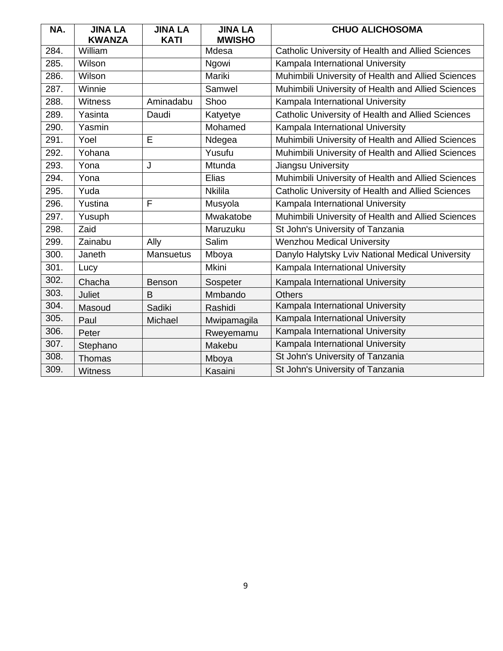| NA.  | <b>JINA LA</b><br><b>KWANZA</b> | <b>JINA LA</b><br><b>KATI</b> | <b>JINA LA</b><br><b>MWISHO</b> | <b>CHUO ALICHOSOMA</b>                             |
|------|---------------------------------|-------------------------------|---------------------------------|----------------------------------------------------|
| 284. | William                         |                               | Mdesa                           | Catholic University of Health and Allied Sciences  |
| 285. | Wilson                          |                               | Ngowi                           | Kampala International University                   |
| 286. | Wilson                          |                               | Mariki                          | Muhimbili University of Health and Allied Sciences |
| 287. | Winnie                          |                               | Samwel                          | Muhimbili University of Health and Allied Sciences |
| 288. | <b>Witness</b>                  | Aminadabu                     | Shoo                            | Kampala International University                   |
| 289. | Yasinta                         | Daudi                         | Katyetye                        | Catholic University of Health and Allied Sciences  |
| 290. | Yasmin                          |                               | Mohamed                         | Kampala International University                   |
| 291. | Yoel                            | E                             | Ndegea                          | Muhimbili University of Health and Allied Sciences |
| 292. | Yohana                          |                               | Yusufu                          | Muhimbili University of Health and Allied Sciences |
| 293. | Yona                            | J                             | Mtunda                          | Jiangsu University                                 |
| 294. | Yona                            |                               | Elias                           | Muhimbili University of Health and Allied Sciences |
| 295. | Yuda                            |                               | <b>Nkilila</b>                  | Catholic University of Health and Allied Sciences  |
| 296. | Yustina                         | F                             | Musyola                         | Kampala International University                   |
| 297. | Yusuph                          |                               | Mwakatobe                       | Muhimbili University of Health and Allied Sciences |
| 298. | Zaid                            |                               | Maruzuku                        | St John's University of Tanzania                   |
| 299. | Zainabu                         | Ally                          | Salim                           | <b>Wenzhou Medical University</b>                  |
| 300. | Janeth                          | <b>Mansuetus</b>              | Mboya                           | Danylo Halytsky Lviv National Medical University   |
| 301. | Lucy                            |                               | Mkini                           | Kampala International University                   |
| 302. | Chacha                          | Benson                        | Sospeter                        | Kampala International University                   |
| 303. | Juliet                          | B                             | Mmbando                         | <b>Others</b>                                      |
| 304. | Masoud                          | Sadiki                        | Rashidi                         | Kampala International University                   |
| 305. | Paul                            | Michael                       | Mwipamagila                     | Kampala International University                   |
| 306. | Peter                           |                               | Rweyemamu                       | Kampala International University                   |
| 307. | Stephano                        |                               | Makebu                          | Kampala International University                   |
| 308. | Thomas                          |                               | Mboya                           | St John's University of Tanzania                   |
| 309. | <b>Witness</b>                  |                               | Kasaini                         | St John's University of Tanzania                   |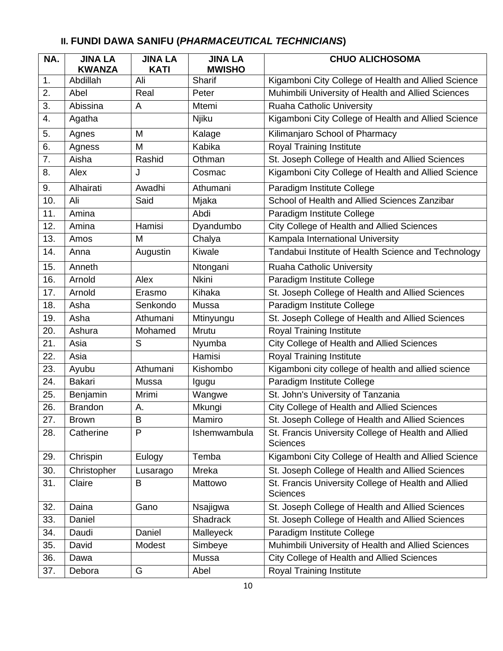| NA. | <b>JINA LA</b><br><b>KWANZA</b> | <b>JINA LA</b><br><b>KATI</b> | <b>JINA LA</b><br><b>MWISHO</b> | <b>CHUO ALICHOSOMA</b>                                                 |
|-----|---------------------------------|-------------------------------|---------------------------------|------------------------------------------------------------------------|
| 1.  | Abdillah                        | Ali                           | Sharif                          | Kigamboni City College of Health and Allied Science                    |
| 2.  | Abel                            | Real                          | Peter                           | Muhimbili University of Health and Allied Sciences                     |
| 3.  | Abissina                        | A                             | Mtemi                           | Ruaha Catholic University                                              |
| 4.  | Agatha                          |                               | Njiku                           | Kigamboni City College of Health and Allied Science                    |
| 5.  | Agnes                           | M                             | Kalage                          | Kilimanjaro School of Pharmacy                                         |
| 6.  | Agness                          | M                             | Kabika                          | <b>Royal Training Institute</b>                                        |
| 7.  | Aisha                           | Rashid                        | Othman                          | St. Joseph College of Health and Allied Sciences                       |
| 8.  | Alex                            | J                             | Cosmac                          | Kigamboni City College of Health and Allied Science                    |
| 9.  | Alhairati                       | Awadhi                        | Athumani                        | Paradigm Institute College                                             |
| 10. | Ali                             | Said                          | Mjaka                           | School of Health and Allied Sciences Zanzibar                          |
| 11. | Amina                           |                               | Abdi                            | Paradigm Institute College                                             |
| 12. | Amina                           | Hamisi                        | Dyandumbo                       | <b>City College of Health and Allied Sciences</b>                      |
| 13. | Amos                            | M                             | Chalya                          | Kampala International University                                       |
| 14. | Anna                            | Augustin                      | Kiwale                          | Tandabui Institute of Health Science and Technology                    |
| 15. | Anneth                          |                               | Ntongani                        | <b>Ruaha Catholic University</b>                                       |
| 16. | Arnold                          | Alex                          | <b>Nkini</b>                    | Paradigm Institute College                                             |
| 17. | Arnold                          | Erasmo                        | Kihaka                          | St. Joseph College of Health and Allied Sciences                       |
| 18. | Asha                            | Senkondo                      | Mussa                           | Paradigm Institute College                                             |
| 19. | Asha                            | Athumani                      | Mtinyungu                       | St. Joseph College of Health and Allied Sciences                       |
| 20. | Ashura                          | Mohamed                       | Mrutu                           | <b>Royal Training Institute</b>                                        |
| 21. | Asia                            | S                             | Nyumba                          | City College of Health and Allied Sciences                             |
| 22. | Asia                            |                               | Hamisi                          | <b>Royal Training Institute</b>                                        |
| 23. | Ayubu                           | Athumani                      | Kishombo                        | Kigamboni city college of health and allied science                    |
| 24. | <b>Bakari</b>                   | Mussa                         | Igugu                           | Paradigm Institute College                                             |
| 25. | Benjamin                        | Mrimi                         | Wangwe                          | St. John's University of Tanzania                                      |
| 26. | <b>Brandon</b>                  | А.                            | Mkungi                          | City College of Health and Allied Sciences                             |
| 27. | <b>Brown</b>                    | $\sf B$                       | Mamiro                          | St. Joseph College of Health and Allied Sciences                       |
| 28. | Catherine                       | P                             | Ishemwambula                    | St. Francis University College of Health and Allied<br><b>Sciences</b> |
| 29. | Chrispin                        | Eulogy                        | Temba                           | Kigamboni City College of Health and Allied Science                    |
| 30. | Christopher                     | Lusarago                      | Mreka                           | St. Joseph College of Health and Allied Sciences                       |
| 31. | Claire                          | B                             | Mattowo                         | St. Francis University College of Health and Allied<br><b>Sciences</b> |
| 32. | Daina                           | Gano                          | Nsajigwa                        | St. Joseph College of Health and Allied Sciences                       |
| 33. | Daniel                          |                               | <b>Shadrack</b>                 | St. Joseph College of Health and Allied Sciences                       |
| 34. | Daudi                           | Daniel                        | Malleyeck                       | Paradigm Institute College                                             |
| 35. | David                           | Modest                        | Simbeye                         | Muhimbili University of Health and Allied Sciences                     |
| 36. | Dawa                            |                               | Mussa                           | City College of Health and Allied Sciences                             |
| 37. | Debora                          | G                             | Abel                            | <b>Royal Training Institute</b>                                        |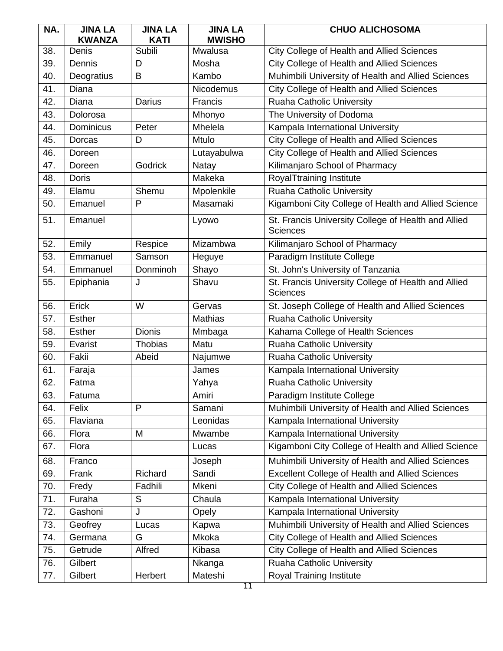| NA. | <b>JINA LA</b>   | <b>JINA LA</b> | <b>JINA LA</b> | <b>CHUO ALICHOSOMA</b>                                                 |
|-----|------------------|----------------|----------------|------------------------------------------------------------------------|
|     | <b>KWANZA</b>    | <b>KATI</b>    | <b>MWISHO</b>  |                                                                        |
| 38. | Denis            | Subili         | Mwalusa        | City College of Health and Allied Sciences                             |
| 39. | Dennis           | D              | Mosha          | City College of Health and Allied Sciences                             |
| 40. | Deogratius       | B              | Kambo          | Muhimbili University of Health and Allied Sciences                     |
| 41. | Diana            |                | Nicodemus      | City College of Health and Allied Sciences                             |
| 42. | Diana            | Darius         | Francis        | <b>Ruaha Catholic University</b>                                       |
| 43. | Dolorosa         |                | Mhonyo         | The University of Dodoma                                               |
| 44. | <b>Dominicus</b> | Peter          | Mhelela        | Kampala International University                                       |
| 45. | Dorcas           | D              | Mtulo          | City College of Health and Allied Sciences                             |
| 46. | Doreen           |                | Lutayabulwa    | City College of Health and Allied Sciences                             |
| 47. | Doreen           | <b>Godrick</b> | Natay          | Kilimanjaro School of Pharmacy                                         |
| 48. | <b>Doris</b>     |                | Makeka         | RoyalTtraining Institute                                               |
| 49. | Elamu            | Shemu          | Mpolenkile     | <b>Ruaha Catholic University</b>                                       |
| 50. | Emanuel          | P              | Masamaki       | Kigamboni City College of Health and Allied Science                    |
| 51. | Emanuel          |                | Lyowo          | St. Francis University College of Health and Allied<br><b>Sciences</b> |
| 52. | Emily            | Respice        | Mizambwa       | Kilimanjaro School of Pharmacy                                         |
| 53. | Emmanuel         | Samson         | Heguye         | Paradigm Institute College                                             |
| 54. | Emmanuel         | Donminoh       | Shayo          | St. John's University of Tanzania                                      |
| 55. | Epiphania        | J              | Shavu          | St. Francis University College of Health and Allied<br><b>Sciences</b> |
| 56. | Erick            | W              | Gervas         | St. Joseph College of Health and Allied Sciences                       |
| 57. | <b>Esther</b>    |                | <b>Mathias</b> | Ruaha Catholic University                                              |
| 58. | <b>Esther</b>    | <b>Dionis</b>  | Mmbaga         | Kahama College of Health Sciences                                      |
| 59. | Evarist          | <b>Thobias</b> | Matu           | Ruaha Catholic University                                              |
| 60. | Fakii            | Abeid          | Najumwe        | Ruaha Catholic University                                              |
| 61. | Faraja           |                | James          | Kampala International University                                       |
| 62. | Fatma            |                | Yahya          | Ruaha Catholic University                                              |
| 63. | Fatuma           |                | Amiri          | Paradigm Institute College                                             |
| 64. | Felix            | P              | Samani         | Muhimbili University of Health and Allied Sciences                     |
| 65. | Flaviana         |                | Leonidas       | Kampala International University                                       |
| 66. | Flora            | M              | Mwambe         | Kampala International University                                       |
| 67. | Flora            |                | Lucas          | Kigamboni City College of Health and Allied Science                    |
| 68. | Franco           |                | Joseph         | Muhimbili University of Health and Allied Sciences                     |
| 69. | Frank            | Richard        | Sandi          | <b>Excellent College of Health and Allied Sciences</b>                 |
| 70. | Fredy            | Fadhili        | Mkeni          | <b>City College of Health and Allied Sciences</b>                      |
| 71. | Furaha           | S              | Chaula         | Kampala International University                                       |
| 72. | Gashoni          | J              | Opely          | Kampala International University                                       |
| 73. | Geofrey          | Lucas          | Kapwa          | Muhimbili University of Health and Allied Sciences                     |
| 74. | Germana          | G              | Mkoka          | City College of Health and Allied Sciences                             |
| 75. | Getrude          | Alfred         | Kibasa         | City College of Health and Allied Sciences                             |
| 76. | Gilbert          |                | Nkanga         | Ruaha Catholic University                                              |
| 77. | Gilbert          | Herbert        | Mateshi        | <b>Royal Training Institute</b>                                        |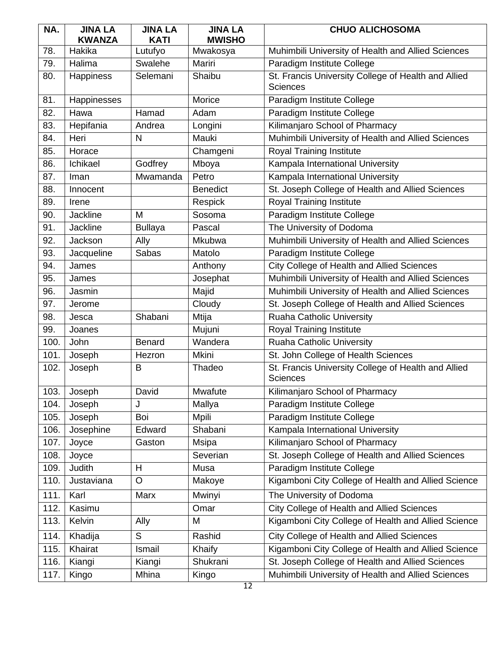| NA.  | <b>JINA LA</b><br><b>KWANZA</b> | <b>JINA LA</b><br><b>KATI</b> | <b>JINA LA</b><br><b>MWISHO</b> | <b>CHUO ALICHOSOMA</b>                                                 |
|------|---------------------------------|-------------------------------|---------------------------------|------------------------------------------------------------------------|
| 78.  | Hakika                          | Lutufyo                       | Mwakosya                        | Muhimbili University of Health and Allied Sciences                     |
| 79.  | Halima                          | Swalehe                       | Mariri                          | Paradigm Institute College                                             |
| 80.  | <b>Happiness</b>                | Selemani                      | Shaibu                          | St. Francis University College of Health and Allied<br><b>Sciences</b> |
| 81.  | Happinesses                     |                               | Morice                          | Paradigm Institute College                                             |
| 82.  | Hawa                            | Hamad                         | Adam                            | Paradigm Institute College                                             |
| 83.  | Hepifania                       | Andrea                        | Longini                         | Kilimanjaro School of Pharmacy                                         |
| 84.  | Heri                            | N                             | Mauki                           | Muhimbili University of Health and Allied Sciences                     |
| 85.  | Horace                          |                               | Chamgeni                        | Royal Training Institute                                               |
| 86.  | Ichikael                        | Godfrey                       | Mboya                           | Kampala International University                                       |
| 87.  | Iman                            | Mwamanda                      | Petro                           | Kampala International University                                       |
| 88.  | Innocent                        |                               | <b>Benedict</b>                 | St. Joseph College of Health and Allied Sciences                       |
| 89.  | Irene                           |                               | Respick                         | Royal Training Institute                                               |
| 90.  | <b>Jackline</b>                 | M                             | Sosoma                          | Paradigm Institute College                                             |
| 91.  | Jackline                        | <b>Bullaya</b>                | Pascal                          | The University of Dodoma                                               |
| 92.  | Jackson                         | Ally                          | Mkubwa                          | Muhimbili University of Health and Allied Sciences                     |
| 93.  | Jacqueline                      | Sabas                         | Matolo                          | Paradigm Institute College                                             |
| 94.  | James                           |                               | Anthony                         | City College of Health and Allied Sciences                             |
| 95.  | James                           |                               | Josephat                        | Muhimbili University of Health and Allied Sciences                     |
| 96.  | Jasmin                          |                               | Majid                           | Muhimbili University of Health and Allied Sciences                     |
| 97.  | Jerome                          |                               | Cloudy                          | St. Joseph College of Health and Allied Sciences                       |
| 98.  | Jesca                           | Shabani                       | Mtija                           | Ruaha Catholic University                                              |
| 99.  | Joanes                          |                               | Mujuni                          | Royal Training Institute                                               |
| 100. | John                            | <b>Benard</b>                 | Wandera                         | Ruaha Catholic University                                              |
| 101. | Joseph                          | Hezron                        | Mkini                           | St. John College of Health Sciences                                    |
| 102. | Joseph                          | B                             | Thadeo                          | St. Francis University College of Health and Allied<br><b>Sciences</b> |
| 103. | Joseph                          | David                         | Mwafute                         | Kilimanjaro School of Pharmacy                                         |
| 104. | Joseph                          | J                             | Mallya                          | Paradigm Institute College                                             |
| 105. | Joseph                          | Boi                           | Mpili                           | Paradigm Institute College                                             |
| 106. | Josephine                       | Edward                        | Shabani                         | Kampala International University                                       |
| 107. | Joyce                           | Gaston                        | <b>Msipa</b>                    | Kilimanjaro School of Pharmacy                                         |
| 108. | Joyce                           |                               | Severian                        | St. Joseph College of Health and Allied Sciences                       |
| 109. | Judith                          | Н                             | Musa                            | Paradigm Institute College                                             |
| 110. | Justaviana                      | O                             | Makoye                          | Kigamboni City College of Health and Allied Science                    |
| 111. | Karl                            | Marx                          | Mwinyi                          | The University of Dodoma                                               |
| 112. | Kasimu                          |                               | Omar                            | City College of Health and Allied Sciences                             |
| 113. | Kelvin                          | Ally                          | M                               | Kigamboni City College of Health and Allied Science                    |
| 114. | Khadija                         | S                             | Rashid                          | City College of Health and Allied Sciences                             |
| 115. | Khairat                         | Ismail                        | Khaify                          | Kigamboni City College of Health and Allied Science                    |
| 116. | Kiangi                          | Kiangi                        | Shukrani                        | St. Joseph College of Health and Allied Sciences                       |
| 117. | Kingo                           | Mhina                         | Kingo                           | Muhimbili University of Health and Allied Sciences                     |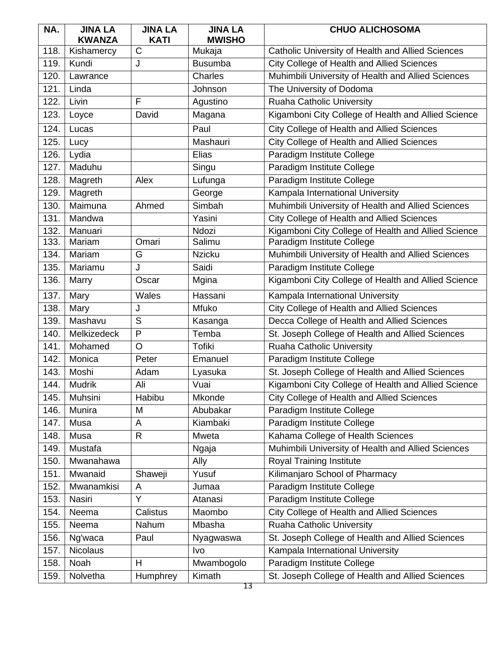| NA.  | <b>JINA LA</b>  | <b>JINA LA</b>        | <b>JINA LA</b> | <b>CHUO ALICHOSOMA</b>                              |
|------|-----------------|-----------------------|----------------|-----------------------------------------------------|
|      | <b>KWANZA</b>   | <b>KATI</b>           | <b>MWISHO</b>  |                                                     |
| 118. | Kishamercy      | $\overline{\text{C}}$ | Mukaja         | Catholic University of Health and Allied Sciences   |
| 119. | Kundi           | J                     | <b>Busumba</b> | City College of Health and Allied Sciences          |
| 120. | Lawrance        |                       | Charles        | Muhimbili University of Health and Allied Sciences  |
| 121. | Linda           |                       | Johnson        | The University of Dodoma                            |
| 122. | Livin           | F                     | Agustino       | Ruaha Catholic University                           |
| 123. | Loyce           | David                 | Magana         | Kigamboni City College of Health and Allied Science |
| 124. | Lucas           |                       | Paul           | City College of Health and Allied Sciences          |
| 125. | Lucy            |                       | Mashauri       | City College of Health and Allied Sciences          |
| 126. | Lydia           |                       | Elias          | Paradigm Institute College                          |
| 127. | Maduhu          |                       | Singu          | Paradigm Institute College                          |
| 128. | Magreth         | Alex                  | Lufunga        | Paradigm Institute College                          |
| 129. | Magreth         |                       | George         | Kampala International University                    |
| 130. | Maimuna         | Ahmed                 | Simbah         | Muhimbili University of Health and Allied Sciences  |
| 131. | Mandwa          |                       | Yasini         | City College of Health and Allied Sciences          |
| 132. | Manuari         |                       | Ndozi          | Kigamboni City College of Health and Allied Science |
| 133. | Mariam          | Omari                 | Salimu         | Paradigm Institute College                          |
| 134. | Mariam          | G                     | <b>Nzicku</b>  | Muhimbili University of Health and Allied Sciences  |
| 135. | Mariamu         | J                     | Saidi          | Paradigm Institute College                          |
| 136. | Marry           | Oscar                 | Mgina          | Kigamboni City College of Health and Allied Science |
| 137. | Mary            | Wales                 | Hassani        | Kampala International University                    |
| 138. | Mary            | J                     | Mfuko          | City College of Health and Allied Sciences          |
| 139. | Mashavu         | S                     | Kasanga        | Decca College of Health and Allied Sciences         |
| 140. | Melkizedeck     | P                     | Temba          | St. Joseph College of Health and Allied Sciences    |
| 141. | Mohamed         | $\circ$               | <b>Tofiki</b>  | Ruaha Catholic University                           |
| 142. | Monica          | Peter                 | Emanuel        | Paradigm Institute College                          |
| 143. | Moshi           | Adam                  | Lyasuka        | St. Joseph College of Health and Allied Sciences    |
| 144. | <b>Mudrik</b>   | Ali                   | Vuai           | Kigamboni City College of Health and Allied Science |
| 145. | Muhsini         | Habibu                | Mkonde         | City College of Health and Allied Sciences          |
| 146. | Munira          | M                     | Abubakar       | Paradigm Institute College                          |
| 147. | Musa            | A                     | Kiambaki       | Paradigm Institute College                          |
| 148. | Musa            | $\mathsf{R}$          | Mweta          | Kahama College of Health Sciences                   |
| 149. | Mustafa         |                       | Ngaja          | Muhimbili University of Health and Allied Sciences  |
| 150. | Mwanahawa       |                       | Ally           | Royal Training Institute                            |
| 151. | Mwanaid         | Shaweji               | Yusuf          | Kilimanjaro School of Pharmacy                      |
| 152. | Mwanamkisi      | A                     | Jumaa          | Paradigm Institute College                          |
| 153. | Nasiri          | Y                     | Atanasi        | Paradigm Institute College                          |
| 154. | Neema           | Calistus              | Maombo         | City College of Health and Allied Sciences          |
| 155. | Neema           | Nahum                 | Mbasha         | Ruaha Catholic University                           |
| 156. | Ng'waca         | Paul                  | Nyagwaswa      | St. Joseph College of Health and Allied Sciences    |
| 157. | <b>Nicolaus</b> |                       | Ivo            | Kampala International University                    |
| 158. | Noah            | H                     | Mwambogolo     | Paradigm Institute College                          |
| 159. | Nolvetha        | Humphrey              | Kimath         | St. Joseph College of Health and Allied Sciences    |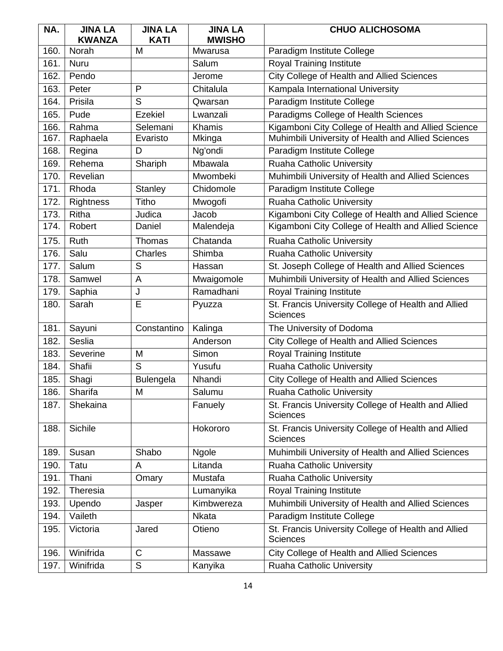| NA.  | <b>JINA LA</b>   | <b>JINA LA</b> | <b>JINA LA</b> | <b>CHUO ALICHOSOMA</b>                                                 |
|------|------------------|----------------|----------------|------------------------------------------------------------------------|
|      | <b>KWANZA</b>    | <b>KATI</b>    | <b>MWISHO</b>  |                                                                        |
| 160. | Norah            | M              | Mwarusa        | Paradigm Institute College                                             |
| 161. | <b>Nuru</b>      |                | Salum          | Royal Training Institute                                               |
| 162. | Pendo            |                | Jerome         | City College of Health and Allied Sciences                             |
| 163. | Peter            | P              | Chitalula      | Kampala International University                                       |
| 164. | Prisila          | S              | Qwarsan        | Paradigm Institute College                                             |
| 165. | Pude             | <b>Ezekiel</b> | Lwanzali       | Paradigms College of Health Sciences                                   |
| 166. | Rahma            | Selemani       | Khamis         | Kigamboni City College of Health and Allied Science                    |
| 167. | Raphaela         | Evaristo       | Mkinga         | Muhimbili University of Health and Allied Sciences                     |
| 168. | Regina           | D              | Ng'ondi        | Paradigm Institute College                                             |
| 169. | Rehema           | Shariph        | Mbawala        | <b>Ruaha Catholic University</b>                                       |
| 170. | Revelian         |                | Mwombeki       | Muhimbili University of Health and Allied Sciences                     |
| 171. | Rhoda            | <b>Stanley</b> | Chidomole      | Paradigm Institute College                                             |
| 172. | <b>Rightness</b> | Titho          | Mwogofi        | <b>Ruaha Catholic University</b>                                       |
| 173. | Ritha            | Judica         | Jacob          | Kigamboni City College of Health and Allied Science                    |
| 174. | Robert           | Daniel         | Malendeja      | Kigamboni City College of Health and Allied Science                    |
| 175. | Ruth             | Thomas         | Chatanda       | Ruaha Catholic University                                              |
| 176. | Salu             | Charles        | Shimba         | <b>Ruaha Catholic University</b>                                       |
| 177. | Salum            | S              | Hassan         | St. Joseph College of Health and Allied Sciences                       |
| 178. | Samwel           | A              | Mwaigomole     | Muhimbili University of Health and Allied Sciences                     |
| 179. | Saphia           | J              | Ramadhani      | Royal Training Institute                                               |
| 180. | Sarah            | E              | Pyuzza         | St. Francis University College of Health and Allied<br><b>Sciences</b> |
| 181. | Sayuni           | Constantino    | Kalinga        | The University of Dodoma                                               |
| 182. | Seslia           |                | Anderson       | <b>City College of Health and Allied Sciences</b>                      |
| 183. | Severine         | M              | Simon          | <b>Royal Training Institute</b>                                        |
| 184. | Shafii           | S              | Yusufu         | Ruaha Catholic University                                              |
| 185. | Shagi            | Bulengela      | Nhandi         | City College of Health and Allied Sciences                             |
| 186. | Sharifa          | M              | Salumu         | Ruaha Catholic University                                              |
| 187. | Shekaina         |                | Fanuely        | St. Francis University College of Health and Allied<br><b>Sciences</b> |
| 188. | Sichile          |                | Hokororo       | St. Francis University College of Health and Allied<br><b>Sciences</b> |
| 189. | Susan            | Shabo          | <b>Ngole</b>   | Muhimbili University of Health and Allied Sciences                     |
| 190. | Tatu             | A              | Litanda        | Ruaha Catholic University                                              |
| 191. | Thani            | Omary          | Mustafa        | Ruaha Catholic University                                              |
| 192. | Theresia         |                | Lumanyika      | Royal Training Institute                                               |
| 193. | Upendo           | Jasper         | Kimbwereza     | Muhimbili University of Health and Allied Sciences                     |
| 194. | Vaileth          |                | <b>Nkata</b>   | Paradigm Institute College                                             |
| 195. | Victoria         | Jared          | Otieno         | St. Francis University College of Health and Allied<br><b>Sciences</b> |
| 196. | Winifrida        | C              | Massawe        | City College of Health and Allied Sciences                             |
| 197. | Winifrida        | $\mathsf S$    | Kanyika        | Ruaha Catholic University                                              |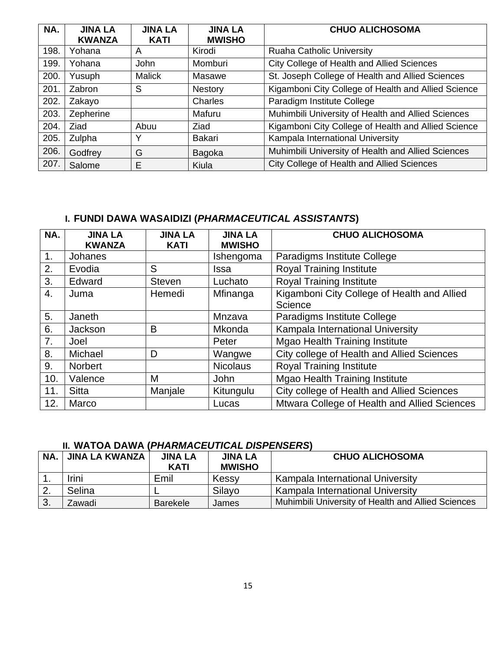| NA.  | <b>JINA LA</b><br><b>KWANZA</b> | <b>JINA LA</b><br><b>KATI</b> | <b>JINA LA</b><br><b>MWISHO</b> | <b>CHUO ALICHOSOMA</b>                              |
|------|---------------------------------|-------------------------------|---------------------------------|-----------------------------------------------------|
| 198. | Yohana                          | A                             | Kirodi                          | <b>Ruaha Catholic University</b>                    |
| 199. | Yohana                          | <b>John</b>                   | Momburi                         | <b>City College of Health and Allied Sciences</b>   |
| 200. | Yusuph                          | <b>Malick</b>                 | Masawe                          | St. Joseph College of Health and Allied Sciences    |
| 201. | Zabron                          | S                             | <b>Nestory</b>                  | Kigamboni City College of Health and Allied Science |
| 202. | Zakayo                          |                               | Charles                         | Paradigm Institute College                          |
| 203. | Zepherine                       |                               | Mafuru                          | Muhimbili University of Health and Allied Sciences  |
| 204. | <b>Ziad</b>                     | Abuu                          | <b>Ziad</b>                     | Kigamboni City College of Health and Allied Science |
| 205. | Zulpha                          | ↘                             | Bakari                          | Kampala International University                    |
| 206. | Godfrey                         | G                             | Bagoka                          | Muhimbili University of Health and Allied Sciences  |
| 207. | Salome                          | E                             | Kiula                           | City College of Health and Allied Sciences          |

| NA.            | <b>JINA LA</b><br><b>KWANZA</b> | <b>JINA LA</b><br><b>KATI</b> | <b>JINA LA</b><br><b>MWISHO</b> | <b>CHUO ALICHOSOMA</b>                                 |
|----------------|---------------------------------|-------------------------------|---------------------------------|--------------------------------------------------------|
| 1 <sub>1</sub> | Johanes                         |                               | Ishengoma                       | Paradigms Institute College                            |
| 2.             | Evodia                          | S                             | <b>Issa</b>                     | <b>Royal Training Institute</b>                        |
| 3.             | Edward                          | <b>Steven</b>                 | Luchato                         | <b>Royal Training Institute</b>                        |
| 4.             | Juma                            | Hemedi                        | Mfinanga                        | Kigamboni City College of Health and Allied<br>Science |
| 5.             | Janeth                          |                               | Mnzava                          | Paradigms Institute College                            |
| 6.             | Jackson                         | B                             | <b>Mkonda</b>                   | Kampala International University                       |
| 7.             | Joel                            |                               | Peter                           | <b>Mgao Health Training Institute</b>                  |
| 8.             | Michael                         | D                             | Wangwe                          | City college of Health and Allied Sciences             |
| 9.             | <b>Norbert</b>                  |                               | <b>Nicolaus</b>                 | <b>Royal Training Institute</b>                        |
| 10.            | Valence                         | М                             | <b>John</b>                     | <b>Mgao Health Training Institute</b>                  |
| 11.            | <b>Sitta</b>                    | Manjale                       | Kitungulu                       | City college of Health and Allied Sciences             |
| 12.            | Marco                           |                               | Lucas                           | Mtwara College of Health and Allied Sciences           |

## **II. WATOA DAWA (***PHARMACEUTICAL DISPENSERS***)**

| NA.              | <b>JINA LA KWANZA</b> | <b>JINA LA</b><br><b>KATI</b> | <b>JINA LA</b><br><b>MWISHO</b> | <b>CHUO ALICHOSOMA</b>                             |
|------------------|-----------------------|-------------------------------|---------------------------------|----------------------------------------------------|
|                  | Irini                 | Emil                          | Kessy                           | Kampala International University                   |
| $\overline{2}$ . | Selina                |                               | Silavo                          | Kampala International University                   |
| 3.               | Zawadi                | <b>Barekele</b>               | James                           | Muhimbili University of Health and Allied Sciences |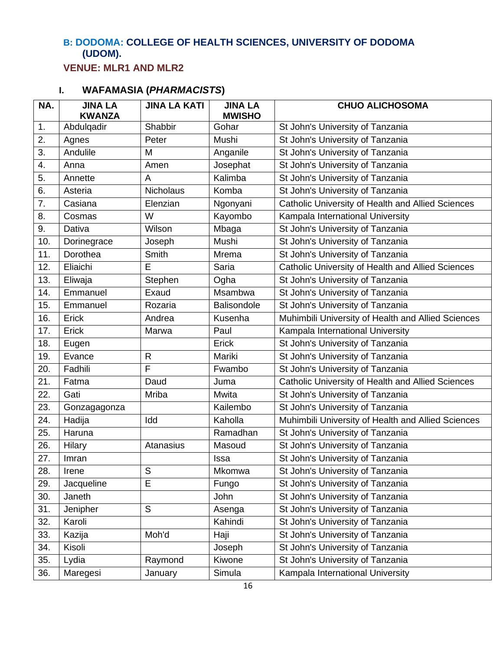## **B: DODOMA: COLLEGE OF HEALTH SCIENCES, UNIVERSITY OF DODOMA (UDOM).**

**VENUE: MLR1 AND MLR2**

| NA. | <b>JINA LA</b><br><b>KWANZA</b> | <b>JINA LA KATI</b> | <b>JINA LA</b><br><b>MWISHO</b> | <b>CHUO ALICHOSOMA</b>                             |
|-----|---------------------------------|---------------------|---------------------------------|----------------------------------------------------|
| 1.  | Abdulqadir                      | Shabbir             | Gohar                           | St John's University of Tanzania                   |
| 2.  | Agnes                           | Peter               | Mushi                           | St John's University of Tanzania                   |
| 3.  | Andulile                        | M                   | Anganile                        | St John's University of Tanzania                   |
| 4.  | Anna                            | Amen                | Josephat                        | St John's University of Tanzania                   |
| 5.  | Annette                         | A                   | Kalimba                         | St John's University of Tanzania                   |
| 6.  | Asteria                         | <b>Nicholaus</b>    | Komba                           | St John's University of Tanzania                   |
| 7.  | Casiana                         | Elenzian            | Ngonyani                        | Catholic University of Health and Allied Sciences  |
| 8.  | Cosmas                          | W                   | Kayombo                         | Kampala International University                   |
| 9.  | Dativa                          | Wilson              | Mbaga                           | St John's University of Tanzania                   |
| 10. | Dorinegrace                     | Joseph              | Mushi                           | St John's University of Tanzania                   |
| 11. | Dorothea                        | Smith               | Mrema                           | St John's University of Tanzania                   |
| 12. | Eliaichi                        | E                   | Saria                           | Catholic University of Health and Allied Sciences  |
| 13. | Eliwaja                         | Stephen             | Ogha                            | St John's University of Tanzania                   |
| 14. | Emmanuel                        | Exaud               | Msambwa                         | St John's University of Tanzania                   |
| 15. | Emmanuel                        | Rozaria             | <b>Balisondole</b>              | St John's University of Tanzania                   |
| 16. | Erick                           | Andrea              | Kusenha                         | Muhimbili University of Health and Allied Sciences |
| 17. | Erick                           | Marwa               | Paul                            | Kampala International University                   |
| 18. | Eugen                           |                     | Erick                           | St John's University of Tanzania                   |
| 19. | Evance                          | $\mathsf{R}$        | Mariki                          | St John's University of Tanzania                   |
| 20. | Fadhili                         | $\mathsf{F}$        | Fwambo                          | St John's University of Tanzania                   |
| 21. | Fatma                           | Daud                | Juma                            | Catholic University of Health and Allied Sciences  |
| 22. | Gati                            | <b>Mriba</b>        | Mwita                           | St John's University of Tanzania                   |
| 23. | Gonzagagonza                    |                     | Kailembo                        | St John's University of Tanzania                   |
| 24. | Hadija                          | Idd                 | Kaholla                         | Muhimbili University of Health and Allied Sciences |
| 25. | Haruna                          |                     | Ramadhan                        | St John's University of Tanzania                   |
| 26. | <b>Hilary</b>                   | Atanasius           | Masoud                          | St John's University of Tanzania                   |
| 27. | Imran                           |                     | Issa                            | St John's University of Tanzania                   |
| 28. | Irene                           | S                   | Mkomwa                          | St John's University of Tanzania                   |
| 29. | Jacqueline                      | E                   | Fungo                           | St John's University of Tanzania                   |
| 30. | Janeth                          |                     | John                            | St John's University of Tanzania                   |
| 31. | Jenipher                        | S                   | Asenga                          | St John's University of Tanzania                   |
| 32. | Karoli                          |                     | Kahindi                         | St John's University of Tanzania                   |
| 33. | Kazija                          | Moh'd               | Haji                            | St John's University of Tanzania                   |
| 34. | Kisoli                          |                     | Joseph                          | St John's University of Tanzania                   |
| 35. | Lydia                           | Raymond             | Kiwone                          | St John's University of Tanzania                   |
| 36. | Maregesi                        | January             | Simula                          | Kampala International University                   |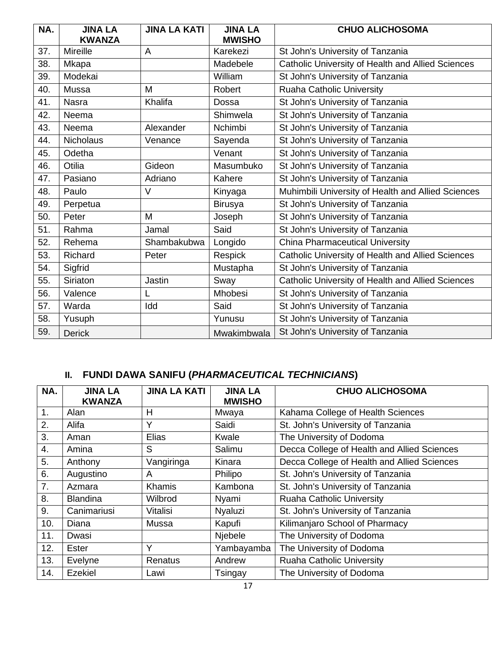| NA. | <b>JINA LA</b><br><b>KWANZA</b> | <b>JINA LA KATI</b> | <b>JINA LA</b><br><b>MWISHO</b> | <b>CHUO ALICHOSOMA</b>                             |
|-----|---------------------------------|---------------------|---------------------------------|----------------------------------------------------|
| 37. | <b>Mireille</b>                 | A                   | Karekezi                        | St John's University of Tanzania                   |
| 38. | Mkapa                           |                     | Madebele                        | Catholic University of Health and Allied Sciences  |
| 39. | Modekai                         |                     | William                         | St John's University of Tanzania                   |
| 40. | Mussa                           | M                   | Robert                          | <b>Ruaha Catholic University</b>                   |
| 41. | <b>Nasra</b>                    | Khalifa             | Dossa                           | St John's University of Tanzania                   |
| 42. | Neema                           |                     | Shimwela                        | St John's University of Tanzania                   |
| 43. | Neema                           | Alexander           | Nchimbi                         | St John's University of Tanzania                   |
| 44. | <b>Nicholaus</b>                | Venance             | Sayenda                         | St John's University of Tanzania                   |
| 45. | Odetha                          |                     | Venant                          | St John's University of Tanzania                   |
| 46. | Otilia                          | Gideon              | Masumbuko                       | St John's University of Tanzania                   |
| 47. | Pasiano                         | Adriano             | Kahere                          | St John's University of Tanzania                   |
| 48. | Paulo                           | $\vee$              | Kinyaga                         | Muhimbili University of Health and Allied Sciences |
| 49. | Perpetua                        |                     | <b>Birusya</b>                  | St John's University of Tanzania                   |
| 50. | Peter                           | M                   | Joseph                          | St John's University of Tanzania                   |
| 51. | Rahma                           | Jamal               | Said                            | St John's University of Tanzania                   |
| 52. | Rehema                          | Shambakubwa         | Longido                         | <b>China Pharmaceutical University</b>             |
| 53. | <b>Richard</b>                  | Peter               | Respick                         | Catholic University of Health and Allied Sciences  |
| 54. | Sigfrid                         |                     | Mustapha                        | St John's University of Tanzania                   |
| 55. | Siriaton                        | <b>Jastin</b>       | Sway                            | Catholic University of Health and Allied Sciences  |
| 56. | Valence                         | L                   | Mhobesi                         | St John's University of Tanzania                   |
| 57. | Warda                           | Idd                 | Said                            | St John's University of Tanzania                   |
| 58. | Yusuph                          |                     | Yunusu                          | St John's University of Tanzania                   |
| 59. | <b>Derick</b>                   |                     | Mwakimbwala                     | St John's University of Tanzania                   |

| NA. | <b>JINA LA</b><br><b>KWANZA</b> | <b>JINA LA KATI</b> | <b>JINA LA</b><br><b>MWISHO</b> | <b>CHUO ALICHOSOMA</b>                      |
|-----|---------------------------------|---------------------|---------------------------------|---------------------------------------------|
| 1.  | Alan                            | H                   | Mwaya                           | Kahama College of Health Sciences           |
| 2.  | Alifa                           | Υ                   | Saidi                           | St. John's University of Tanzania           |
| 3.  | Aman                            | Elias               | Kwale                           | The University of Dodoma                    |
| 4.  | Amina                           | S                   | Salimu                          | Decca College of Health and Allied Sciences |
| 5.  | Anthony                         | Vangiringa          | Kinara                          | Decca College of Health and Allied Sciences |
| 6.  | Augustino                       | A                   | Philipo                         | St. John's University of Tanzania           |
| 7.  | Azmara                          | Khamis              | Kambona                         | St. John's University of Tanzania           |
| 8.  | <b>Blandina</b>                 | Wilbrod             | Nyami                           | Ruaha Catholic University                   |
| 9.  | Canimariusi                     | Vitalisi            | Nyaluzi                         | St. John's University of Tanzania           |
| 10. | Diana                           | Mussa               | Kapufi                          | Kilimanjaro School of Pharmacy              |
| 11. | Dwasi                           |                     | Njebele                         | The University of Dodoma                    |
| 12. | <b>Ester</b>                    | Υ                   | Yambayamba                      | The University of Dodoma                    |
| 13. | Evelyne                         | Renatus             | Andrew                          | Ruaha Catholic University                   |
| 14. | Ezekiel                         | Lawi                | Tsingay                         | The University of Dodoma                    |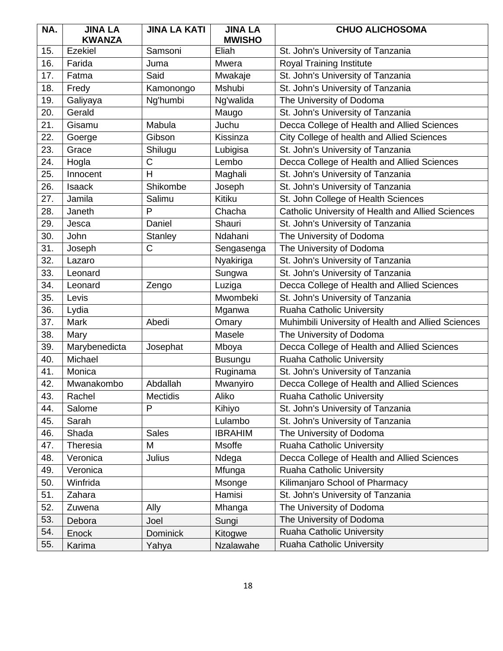| NA. | <b>JINA LA</b><br><b>KWANZA</b> | <b>JINA LA KATI</b> | <b>JINA LA</b><br><b>MWISHO</b> | <b>CHUO ALICHOSOMA</b>                             |
|-----|---------------------------------|---------------------|---------------------------------|----------------------------------------------------|
| 15. | Ezekiel                         | Samsoni             | Eliah                           | St. John's University of Tanzania                  |
| 16. | Farida                          | Juma                | <b>Mwera</b>                    | Royal Training Institute                           |
| 17. | Fatma                           | Said                | Mwakaje                         | St. John's University of Tanzania                  |
| 18. | Fredy                           | Kamonongo           | Mshubi                          | St. John's University of Tanzania                  |
| 19. | Galiyaya                        | Ng'humbi            | Ng'walida                       | The University of Dodoma                           |
| 20. | Gerald                          |                     | Maugo                           | St. John's University of Tanzania                  |
| 21. | Gisamu                          | Mabula              | Juchu                           | Decca College of Health and Allied Sciences        |
| 22. | Goerge                          | Gibson              | Kissinza                        | City College of health and Allied Sciences         |
| 23. | Grace                           | Shilugu             | Lubigisa                        | St. John's University of Tanzania                  |
| 24. | Hogla                           | C                   | Lembo                           | Decca College of Health and Allied Sciences        |
| 25. | Innocent                        | H                   | Maghali                         | St. John's University of Tanzania                  |
| 26. | <b>Isaack</b>                   | Shikombe            | Joseph                          | St. John's University of Tanzania                  |
| 27. | Jamila                          | Salimu              | Kitiku                          | St. John College of Health Sciences                |
| 28. | Janeth                          | P                   | Chacha                          | Catholic University of Health and Allied Sciences  |
| 29. | Jesca                           | Daniel              | Shauri                          | St. John's University of Tanzania                  |
| 30. | John                            | Stanley             | Ndahani                         | The University of Dodoma                           |
| 31. | Joseph                          | $\mathsf C$         | Sengasenga                      | The University of Dodoma                           |
| 32. | Lazaro                          |                     | Nyakiriga                       | St. John's University of Tanzania                  |
| 33. | Leonard                         |                     | Sungwa                          | St. John's University of Tanzania                  |
| 34. | Leonard                         | Zengo               | Luziga                          | Decca College of Health and Allied Sciences        |
| 35. | Levis                           |                     | Mwombeki                        | St. John's University of Tanzania                  |
| 36. | Lydia                           |                     | Mganwa                          | Ruaha Catholic University                          |
| 37. | Mark                            | Abedi               | Omary                           | Muhimbili University of Health and Allied Sciences |
| 38. | Mary                            |                     | Masele                          | The University of Dodoma                           |
| 39. | Marybenedicta                   | Josephat            | Mboya                           | Decca College of Health and Allied Sciences        |
| 40. | Michael                         |                     | <b>Busungu</b>                  | Ruaha Catholic University                          |
| 41. | Monica                          |                     | Ruginama                        | St. John's University of Tanzania                  |
| 42. | Mwanakombo                      | Abdallah            | Mwanyiro                        | Decca College of Health and Allied Sciences        |
| 43. | Rachel                          | <b>Mectidis</b>     | Aliko                           | Ruaha Catholic University                          |
| 44. | Salome                          | P                   | Kihiyo                          | St. John's University of Tanzania                  |
| 45. | Sarah                           |                     | Lulambo                         | St. John's University of Tanzania                  |
| 46. | Shada                           | <b>Sales</b>        | <b>IBRAHIM</b>                  | The University of Dodoma                           |
| 47. | Theresia                        | M                   | Msoffe                          | Ruaha Catholic University                          |
| 48. | Veronica                        | Julius              | Ndega                           | Decca College of Health and Allied Sciences        |
| 49. | Veronica                        |                     | Mfunga                          | Ruaha Catholic University                          |
| 50. | Winfrida                        |                     | Msonge                          | Kilimanjaro School of Pharmacy                     |
| 51. | Zahara                          |                     | Hamisi                          | St. John's University of Tanzania                  |
| 52. | Zuwena                          | Ally                | Mhanga                          | The University of Dodoma                           |
| 53. | Debora                          | Joel                | Sungi                           | The University of Dodoma                           |
| 54. | Enock                           | <b>Dominick</b>     | Kitogwe                         | Ruaha Catholic University                          |
| 55. | Karima                          | Yahya               | Nzalawahe                       | Ruaha Catholic University                          |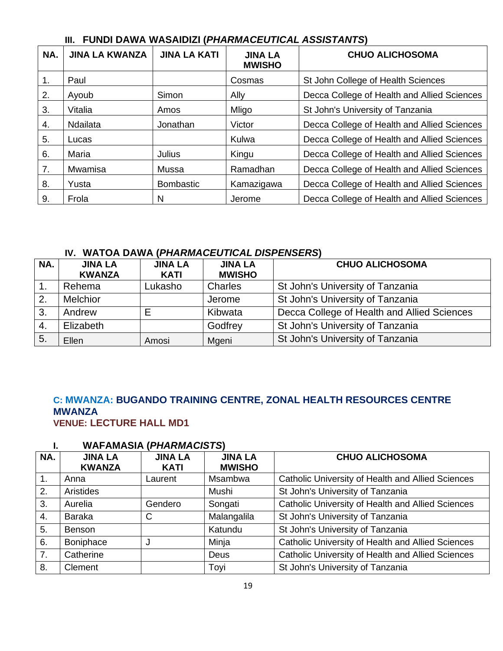| NA. | <b>JINA LA KWANZA</b> | <b>JINA LA KATI</b> | <b>JINA LA</b><br><b>MWISHO</b> | <b>CHUO ALICHOSOMA</b>                      |
|-----|-----------------------|---------------------|---------------------------------|---------------------------------------------|
| 1.  | Paul                  |                     | Cosmas                          | St John College of Health Sciences          |
| 2.  | Ayoub                 | Simon               | Ally                            | Decca College of Health and Allied Sciences |
| 3.  | Vitalia               | Amos                | Mligo                           | St John's University of Tanzania            |
| 4.  | Ndailata              | Jonathan            | Victor                          | Decca College of Health and Allied Sciences |
| 5.  | Lucas                 |                     | Kulwa                           | Decca College of Health and Allied Sciences |
| 6.  | Maria                 | Julius              | Kingu                           | Decca College of Health and Allied Sciences |
| 7.  | Mwamisa               | Mussa               | Ramadhan                        | Decca College of Health and Allied Sciences |
| 8.  | Yusta                 | <b>Bombastic</b>    | Kamazigawa                      | Decca College of Health and Allied Sciences |
| 9.  | Frola                 | N                   | Jerome                          | Decca College of Health and Allied Sciences |

### **IV. WATOA DAWA (***PHARMACEUTICAL DISPENSERS***)**

| NA. | <b>JINA LA</b><br><b>KWANZA</b> | <b>JINA LA</b><br><b>KATI</b> | <b>JINA LA</b><br><b>MWISHO</b> | <b>CHUO ALICHOSOMA</b>                      |
|-----|---------------------------------|-------------------------------|---------------------------------|---------------------------------------------|
|     | Rehema                          | Lukasho                       | Charles                         | St John's University of Tanzania            |
| 2.  | <b>Melchior</b>                 |                               | Jerome                          | St John's University of Tanzania            |
| 3.  | Andrew                          | E                             | Kibwata                         | Decca College of Health and Allied Sciences |
| 4.  | Elizabeth                       |                               | Godfrey                         | St John's University of Tanzania            |
| 5.  | Ellen                           | Amosi                         | Mgeni                           | St John's University of Tanzania            |

#### **C: MWANZA: BUGANDO TRAINING CENTRE, ZONAL HEALTH RESOURCES CENTRE MWANZA VENUE: LECTURE HALL MD1**

| NA.              | <b>JINA LA</b><br><b>KWANZA</b> | <b>JINA LA</b><br><b>KATI</b> | <b>JINA LA</b><br><b>MWISHO</b> | <b>CHUO ALICHOSOMA</b>                            |
|------------------|---------------------------------|-------------------------------|---------------------------------|---------------------------------------------------|
| $\overline{1}$ . | Anna                            | Laurent                       | Msambwa                         | Catholic University of Health and Allied Sciences |
| 2.               | Aristides                       |                               | Mushi                           | St John's University of Tanzania                  |
| 3.               | Aurelia                         | Gendero                       | Songati                         | Catholic University of Health and Allied Sciences |
| 4.               | <b>Baraka</b>                   | C                             | Malangalila                     | St John's University of Tanzania                  |
| 5.               | <b>Benson</b>                   |                               | Katundu                         | St John's University of Tanzania                  |
| 6.               | Boniphace                       | J                             | Minja                           | Catholic University of Health and Allied Sciences |
| 7.               | Catherine                       |                               | Deus                            | Catholic University of Health and Allied Sciences |
| 8.               | Clement                         |                               | Toyi                            | St John's University of Tanzania                  |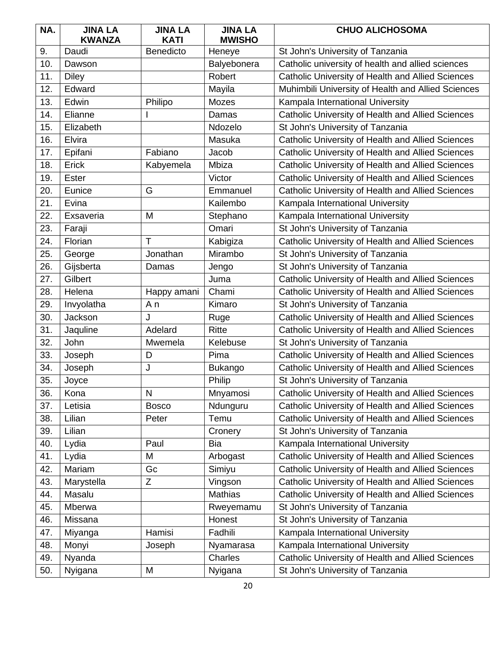| NA. | <b>JINA LA</b><br><b>KWANZA</b> | <b>JINA LA</b><br><b>KATI</b> | <b>JINA LA</b><br><b>MWISHO</b> | <b>CHUO ALICHOSOMA</b>                             |
|-----|---------------------------------|-------------------------------|---------------------------------|----------------------------------------------------|
| 9.  | Daudi                           | <b>Benedicto</b>              | Heneye                          | St John's University of Tanzania                   |
| 10. | Dawson                          |                               | Balyebonera                     | Catholic university of health and allied sciences  |
| 11. | <b>Diley</b>                    |                               | Robert                          | Catholic University of Health and Allied Sciences  |
| 12. | Edward                          |                               | Mayila                          | Muhimbili University of Health and Allied Sciences |
| 13. | Edwin                           | Philipo                       | Mozes                           | Kampala International University                   |
| 14. | Elianne                         |                               | Damas                           | Catholic University of Health and Allied Sciences  |
| 15. | Elizabeth                       |                               | Ndozelo                         | St John's University of Tanzania                   |
| 16. | Elvira                          |                               | Masuka                          | Catholic University of Health and Allied Sciences  |
| 17. | Epifani                         | Fabiano                       | Jacob                           | Catholic University of Health and Allied Sciences  |
| 18. | Erick                           | Kabyemela                     | Mbiza                           | Catholic University of Health and Allied Sciences  |
| 19. | <b>Ester</b>                    |                               | Victor                          | Catholic University of Health and Allied Sciences  |
| 20. | Eunice                          | G                             | Emmanuel                        | Catholic University of Health and Allied Sciences  |
| 21. | Evina                           |                               | Kailembo                        | Kampala International University                   |
| 22. | Exsaveria                       | M                             | Stephano                        | Kampala International University                   |
| 23. | Faraji                          |                               | Omari                           | St John's University of Tanzania                   |
| 24. | Florian                         | Τ                             | Kabigiza                        | Catholic University of Health and Allied Sciences  |
| 25. | George                          | Jonathan                      | Mirambo                         | St John's University of Tanzania                   |
| 26. | Gijsberta                       | Damas                         | Jengo                           | St John's University of Tanzania                   |
| 27. | Gilbert                         |                               | Juma                            | Catholic University of Health and Allied Sciences  |
| 28. | Helena                          | Happy amani                   | Chami                           | Catholic University of Health and Allied Sciences  |
| 29. | Invyolatha                      | Αn                            | Kimaro                          | St John's University of Tanzania                   |
| 30. | Jackson                         | J                             | Ruge                            | Catholic University of Health and Allied Sciences  |
| 31. | Jaquline                        | Adelard                       | Ritte                           | Catholic University of Health and Allied Sciences  |
| 32. | John                            | Mwemela                       | Kelebuse                        | St John's University of Tanzania                   |
| 33. | Joseph                          | D                             | Pima                            | Catholic University of Health and Allied Sciences  |
| 34. | Joseph                          | J                             | <b>Bukango</b>                  | Catholic University of Health and Allied Sciences  |
| 35. | Joyce                           |                               | Philip                          | St John's University of Tanzania                   |
| 36. | Kona                            | N                             | Mnyamosi                        | Catholic University of Health and Allied Sciences  |
| 37. | Letisia                         | <b>Bosco</b>                  | Ndunguru                        | Catholic University of Health and Allied Sciences  |
| 38. | Lilian                          | Peter                         | Temu                            | Catholic University of Health and Allied Sciences  |
| 39. | Lilian                          |                               | Cronery                         | St John's University of Tanzania                   |
| 40. | Lydia                           | Paul                          | Bia                             | Kampala International University                   |
| 41. | Lydia                           | Μ                             | Arbogast                        | Catholic University of Health and Allied Sciences  |
| 42. | Mariam                          | Gc                            | Simiyu                          | Catholic University of Health and Allied Sciences  |
| 43. | Marystella                      | Ζ                             | Vingson                         | Catholic University of Health and Allied Sciences  |
| 44. | Masalu                          |                               | <b>Mathias</b>                  | Catholic University of Health and Allied Sciences  |
| 45. | Mberwa                          |                               | Rweyemamu                       | St John's University of Tanzania                   |
| 46. | Missana                         |                               | Honest                          | St John's University of Tanzania                   |
| 47. | Miyanga                         | Hamisi                        | Fadhili                         | Kampala International University                   |
| 48. | Monyi                           | Joseph                        | Nyamarasa                       | Kampala International University                   |
| 49. | Nyanda                          |                               | Charles                         | Catholic University of Health and Allied Sciences  |
| 50. | Nyigana                         | M                             | Nyigana                         | St John's University of Tanzania                   |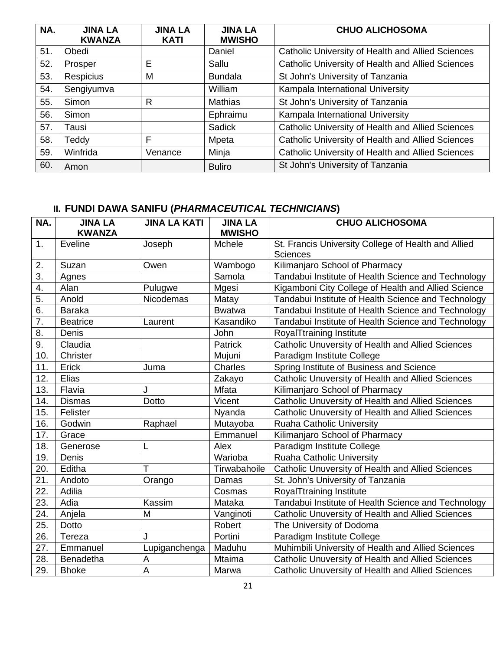| NA. | <b>JINA LA</b><br><b>KWANZA</b> | <b>JINA LA</b><br><b>KATI</b> | <b>JINA LA</b><br><b>MWISHO</b> | <b>CHUO ALICHOSOMA</b>                            |
|-----|---------------------------------|-------------------------------|---------------------------------|---------------------------------------------------|
| 51. | Obedi                           |                               | Daniel                          | Catholic University of Health and Allied Sciences |
| 52. | Prosper                         | E                             | Sallu                           | Catholic University of Health and Allied Sciences |
| 53. | <b>Respicius</b>                | M                             | <b>Bundala</b>                  | St John's University of Tanzania                  |
| 54. | Sengiyumva                      |                               | William                         | Kampala International University                  |
| 55. | Simon                           | R                             | <b>Mathias</b>                  | St John's University of Tanzania                  |
| 56. | Simon                           |                               | Ephraimu                        | Kampala International University                  |
| 57. | Tausi                           |                               | <b>Sadick</b>                   | Catholic University of Health and Allied Sciences |
| 58. | Teddy                           | F                             | Mpeta                           | Catholic University of Health and Allied Sciences |
| 59. | Winfrida                        | Venance                       | Minja                           | Catholic University of Health and Allied Sciences |
| 60. | Amon                            |                               | <b>Buliro</b>                   | St John's University of Tanzania                  |

| NA. | <b>JINA LA</b><br><b>KWANZA</b> | <b>JINA LA KATI</b> | <b>JINA LA</b><br><b>MWISHO</b> | <b>CHUO ALICHOSOMA</b>                                                 |
|-----|---------------------------------|---------------------|---------------------------------|------------------------------------------------------------------------|
| 1.  | Eveline                         | Joseph              | Mchele                          | St. Francis University College of Health and Allied<br><b>Sciences</b> |
| 2.  | Suzan                           | Owen                | Wambogo                         | Kilimanjaro School of Pharmacy                                         |
| 3.  | Agnes                           |                     | Samola                          | Tandabui Institute of Health Science and Technology                    |
| 4.  | Alan                            | Pulugwe             | Mgesi                           | Kigamboni City College of Health and Allied Science                    |
| 5.  | Anold                           | Nicodemas           | Matay                           | Tandabui Institute of Health Science and Technology                    |
| 6.  | <b>Baraka</b>                   |                     | <b>Bwatwa</b>                   | Tandabui Institute of Health Science and Technology                    |
| 7.  | <b>Beatrice</b>                 | Laurent             | Kasandiko                       | Tandabui Institute of Health Science and Technology                    |
| 8.  | Denis                           |                     | John                            | RoyalTtraining Institute                                               |
| 9.  | Claudia                         |                     | Patrick                         | Catholic Unuversity of Health and Allied Sciences                      |
| 10. | Christer                        |                     | Mujuni                          | Paradigm Institute College                                             |
| 11. | Erick                           | Juma                | Charles                         | Spring Institute of Business and Science                               |
| 12. | Elias                           |                     | Zakayo                          | Catholic Unuversity of Health and Allied Sciences                      |
| 13. | Flavia                          | J                   | <b>Mfata</b>                    | Kilimanjaro School of Pharmacy                                         |
| 14. | <b>Dismas</b>                   | Dotto               | Vicent                          | Catholic Unuversity of Health and Allied Sciences                      |
| 15. | Felister                        |                     | Nyanda                          | Catholic Unuversity of Health and Allied Sciences                      |
| 16. | Godwin                          | Raphael             | Mutayoba                        | <b>Ruaha Catholic University</b>                                       |
| 17. | Grace                           |                     | Emmanuel                        | Kilimanjaro School of Pharmacy                                         |
| 18. | Generose                        | L                   | Alex                            | Paradigm Institute College                                             |
| 19. | Denis                           |                     | Warioba                         | Ruaha Catholic University                                              |
| 20. | Editha                          | $\top$              | Tirwabahoile                    | Catholic Unuversity of Health and Allied Sciences                      |
| 21. | Andoto                          | Orango              | Damas                           | St. John's University of Tanzania                                      |
| 22. | Adilia                          |                     | Cosmas                          | RoyalTtraining Institute                                               |
| 23. | Adia                            | Kassim              | Mataka                          | Tandabui Institute of Health Science and Technology                    |
| 24. | Anjela                          | M                   | Vanginoti                       | Catholic Unuversity of Health and Allied Sciences                      |
| 25. | Dotto                           |                     | Robert                          | The University of Dodoma                                               |
| 26. | Tereza                          | J                   | Portini                         | Paradigm Institute College                                             |
| 27. | Emmanuel                        | Lupiganchenga       | Maduhu                          | Muhimbili University of Health and Allied Sciences                     |
| 28. | Benadetha                       | A                   | <b>Mtaima</b>                   | Catholic Unuversity of Health and Allied Sciences                      |
| 29. | <b>Bhoke</b>                    | $\overline{A}$      | Marwa                           | Catholic Unuversity of Health and Allied Sciences                      |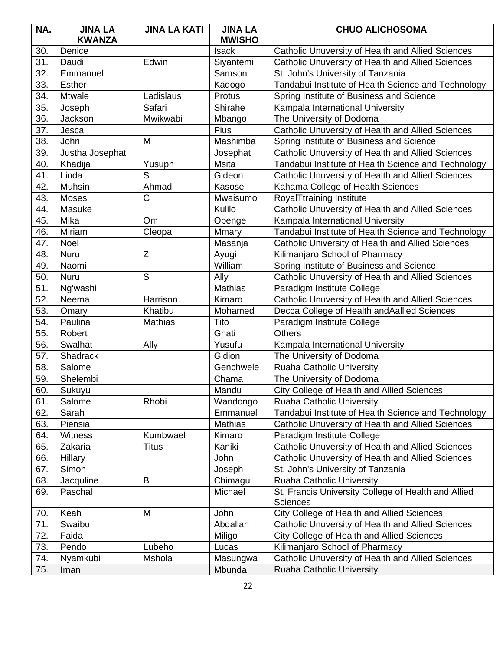| NA. | <b>JINA LA</b>  | <b>JINA LA KATI</b> | <b>JINA LA</b> | <b>CHUO ALICHOSOMA</b>                              |
|-----|-----------------|---------------------|----------------|-----------------------------------------------------|
|     | <b>KWANZA</b>   |                     | <b>MWISHO</b>  |                                                     |
| 30. | Denice          |                     | Isack          | Catholic Unuversity of Health and Allied Sciences   |
| 31. | Daudi           | Edwin               | Siyantemi      | Catholic Unuversity of Health and Allied Sciences   |
| 32. | Emmanuel        |                     | Samson         | St. John's University of Tanzania                   |
| 33. | <b>Esther</b>   |                     | Kadogo         | Tandabui Institute of Health Science and Technology |
| 34. | Mtwale          | Ladislaus           | Protus         | Spring Institute of Business and Science            |
| 35. | Joseph          | Safari              | Shirahe        | Kampala International University                    |
| 36. | Jackson         | Mwikwabi            | Mbango         | The University of Dodoma                            |
| 37. | Jesca           |                     | Pius           | Catholic Unuversity of Health and Allied Sciences   |
| 38. | John            | M                   | Mashimba       | Spring Institute of Business and Science            |
| 39. | Justha Josephat |                     | Josephat       | Catholic Unuversity of Health and Allied Sciences   |
| 40. | Khadija         | Yusuph              | <b>Msita</b>   | Tandabui Institute of Health Science and Technology |
| 41. | Linda           | S                   | Gideon         | Catholic Unuversity of Health and Allied Sciences   |
| 42. | Muhsin          | Ahmad               | Kasose         | Kahama College of Health Sciences                   |
| 43. | Moses           | C                   | Mwaisumo       | RoyalTtraining Institute                            |
| 44. | Masuke          |                     | Kulilo         | Catholic Unuversity of Health and Allied Sciences   |
| 45. | Mika            | <b>Om</b>           | Obenge         | Kampala International University                    |
| 46. | Miriam          | Cleopa              | Mmary          | Tandabui Institute of Health Science and Technology |
| 47. | Noel            |                     | Masanja        | Catholic University of Health and Allied Sciences   |
| 48. | Nuru            | Z                   | Ayugi          | Kilimanjaro School of Pharmacy                      |
| 49. | Naomi           |                     | William        | Spring Institute of Business and Science            |
| 50. | Nuru            | S                   | Ally           | Catholic Unuversity of Health and Allied Sciences   |
| 51. | Ng'washi        |                     | <b>Mathias</b> | Paradigm Institute College                          |
| 52. | Neema           | Harrison            | Kimaro         | Catholic Unuversity of Health and Allied Sciences   |
| 53. | Omary           | Khatibu             | Mohamed        | Decca College of Health and Aallied Sciences        |
| 54. | Paulina         | Mathias             | Tito           | Paradigm Institute College                          |
| 55. | Robert          |                     | Ghati          | <b>Others</b>                                       |
| 56. | Swalhat         | Ally                | Yusufu         | Kampala International University                    |
| 57. | Shadrack        |                     | Gidion         | The University of Dodoma                            |
| 58. | Salome          |                     | Genchwele      | Ruaha Catholic University                           |
| 59. | Shelembi        |                     | Chama          | The University of Dodoma                            |
| 60. | Sukuyu          |                     | Mandu          | City College of Health and Allied Sciences          |
| 61. | Salome          | Rhobi               | Wandongo       | <b>Ruaha Catholic University</b>                    |
| 62. | Sarah           |                     | Emmanuel       | Tandabui Institute of Health Science and Technology |
| 63. | Piensia         |                     | Mathias        | Catholic Unuversity of Health and Allied Sciences   |
| 64. | Witness         | Kumbwael            | Kimaro         | Paradigm Institute College                          |
| 65. | Zakaria         | <b>Titus</b>        | Kaniki         | Catholic Unuversity of Health and Allied Sciences   |
| 66. | Hillary         |                     | John           | Catholic Unuversity of Health and Allied Sciences   |
| 67. | Simon           |                     | Joseph         | St. John's University of Tanzania                   |
| 68. | Jacquline       | B                   | Chimagu        | Ruaha Catholic University                           |
| 69. | Paschal         |                     | Michael        | St. Francis University College of Health and Allied |
|     |                 |                     |                | <b>Sciences</b>                                     |
| 70. | Keah            | M                   | John           | City College of Health and Allied Sciences          |
| 71. | Swaibu          |                     | Abdallah       | Catholic Unuversity of Health and Allied Sciences   |
| 72. | Faida           |                     | Miligo         | City College of Health and Allied Sciences          |
| 73. | Pendo           | Lubeho              | Lucas          | Kilimanjaro School of Pharmacy                      |
| 74. | Nyamkubi        | Mshola              | Masungwa       | Catholic Unuversity of Health and Allied Sciences   |
| 75. | Iman            |                     | Mbunda         | Ruaha Catholic University                           |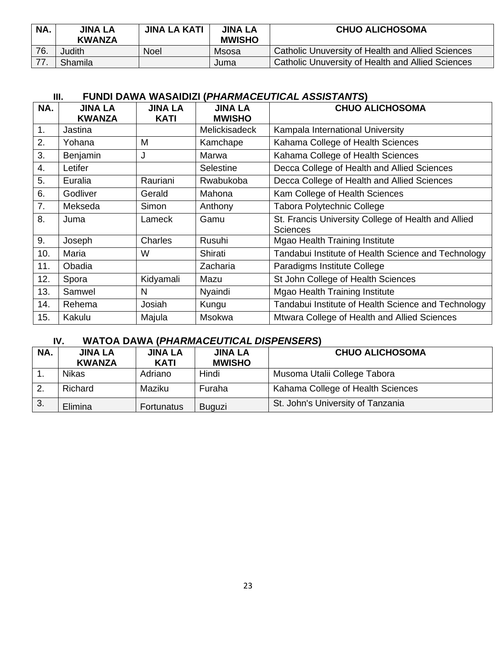| NA. | <b>JINA LA</b><br><b>KWANZA</b> | <b>JINA LA KATI</b> | <b>JINA LA</b><br><b>MWISHO</b> | <b>CHUO ALICHOSOMA</b>                            |
|-----|---------------------------------|---------------------|---------------------------------|---------------------------------------------------|
| 76. | Judith                          | Noel                | Msosa                           | Catholic Unuversity of Health and Allied Sciences |
| 77. | Shamila                         |                     | Juma                            | Catholic Unuversity of Health and Allied Sciences |

| NA.            | <b>JINA LA</b> | JINA LA     | <b>JINA LA</b> | <b>CHUO ALICHOSOMA</b>                              |
|----------------|----------------|-------------|----------------|-----------------------------------------------------|
|                | <b>KWANZA</b>  | <b>KATI</b> | <b>MWISHO</b>  |                                                     |
| 1.             | Jastina        |             | Melickisadeck  | Kampala International University                    |
| 2.             | Yohana         | M           | Kamchape       | Kahama College of Health Sciences                   |
| 3.             | Benjamin       | J           | Marwa          | Kahama College of Health Sciences                   |
| 4.             | Letifer        |             | Selestine      | Decca College of Health and Allied Sciences         |
| 5.             | Euralia        | Rauriani    | Rwabukoba      | Decca College of Health and Allied Sciences         |
| 6.             | Godliver       | Gerald      | Mahona         | Kam College of Health Sciences                      |
| 7 <sub>1</sub> | Mekseda        | Simon       | Anthony        | <b>Tabora Polytechnic College</b>                   |
| 8.             | Juma           | Lameck      | Gamu           | St. Francis University College of Health and Allied |
|                |                |             |                | <b>Sciences</b>                                     |
| 9.             | Joseph         | Charles     | Rusuhi         | <b>Mgao Health Training Institute</b>               |
| 10.            | Maria          | W           | Shirati        | Tandabui Institute of Health Science and Technology |
| 11.            | Obadia         |             | Zacharia       | Paradigms Institute College                         |
| 12.            | Spora          | Kidyamali   | Mazu           | St John College of Health Sciences                  |
| 13.            | Samwel         | N           | Nyaindi        | <b>Mgao Health Training Institute</b>               |
| 14.            | Rehema         | Josiah      | Kungu          | Tandabui Institute of Health Science and Technology |
| 15.            | Kakulu         | Majula      | Msokwa         | Mtwara College of Health and Allied Sciences        |

## **IV. WATOA DAWA (***PHARMACEUTICAL DISPENSERS***)**

| NA. | <b>JINA LA</b><br><b>KWANZA</b> | <b>JINA LA</b><br><b>KATI</b> | <b>JINA LA</b><br><b>MWISHO</b> | <b>CHUO ALICHOSOMA</b>            |
|-----|---------------------------------|-------------------------------|---------------------------------|-----------------------------------|
|     | <b>Nikas</b>                    | Adriano                       | Hindi                           | Musoma Utalii College Tabora      |
|     | Richard                         | Maziku                        | Furaha                          | Kahama College of Health Sciences |
| 3.  | Elimina                         | Fortunatus                    | Buguzi                          | St. John's University of Tanzania |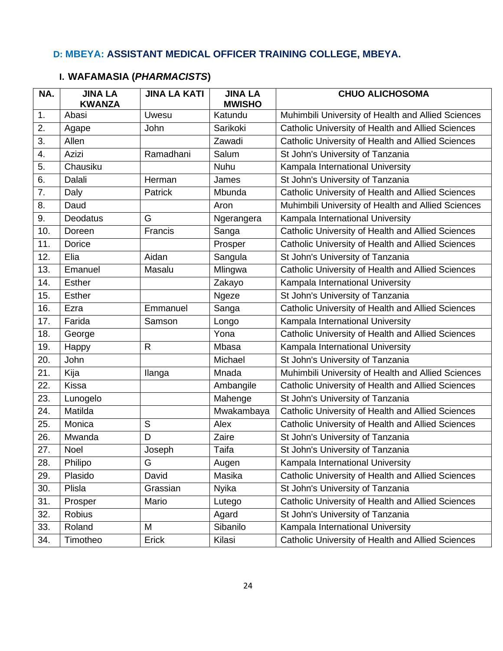## **D: MBEYA: ASSISTANT MEDICAL OFFICER TRAINING COLLEGE, MBEYA.**

| NA. | <b>JINA LA</b><br><b>KWANZA</b> | <b>JINA LA KATI</b> | <b>JINA LA</b><br><b>MWISHO</b> | <b>CHUO ALICHOSOMA</b>                             |
|-----|---------------------------------|---------------------|---------------------------------|----------------------------------------------------|
| 1.  | Abasi                           | Uwesu               | Katundu                         | Muhimbili University of Health and Allied Sciences |
| 2.  | Agape                           | John                | Sarikoki                        | Catholic University of Health and Allied Sciences  |
| 3.  | Allen                           |                     | Zawadi                          | Catholic University of Health and Allied Sciences  |
| 4.  | Azizi                           | Ramadhani           | Salum                           | St John's University of Tanzania                   |
| 5.  | Chausiku                        |                     | Nuhu                            | Kampala International University                   |
| 6.  | Dalali                          | Herman              | James                           | St John's University of Tanzania                   |
| 7.  | Daly                            | Patrick             | Mbunda                          | Catholic University of Health and Allied Sciences  |
| 8.  | Daud                            |                     | Aron                            | Muhimbili University of Health and Allied Sciences |
| 9.  | Deodatus                        | G                   | Ngerangera                      | Kampala International University                   |
| 10. | Doreen                          | Francis             | Sanga                           | Catholic University of Health and Allied Sciences  |
| 11. | Dorice                          |                     | Prosper                         | Catholic University of Health and Allied Sciences  |
| 12. | Elia                            | Aidan               | Sangula                         | St John's University of Tanzania                   |
| 13. | Emanuel                         | Masalu              | Mlingwa                         | Catholic University of Health and Allied Sciences  |
| 14. | <b>Esther</b>                   |                     | Zakayo                          | Kampala International University                   |
| 15. | <b>Esther</b>                   |                     | Ngeze                           | St John's University of Tanzania                   |
| 16. | Ezra                            | Emmanuel            | Sanga                           | Catholic University of Health and Allied Sciences  |
| 17. | Farida                          | Samson              | Longo                           | Kampala International University                   |
| 18. | George                          |                     | Yona                            | Catholic University of Health and Allied Sciences  |
| 19. | Happy                           | $\mathsf{R}$        | Mbasa                           | Kampala International University                   |
| 20. | John                            |                     | Michael                         | St John's University of Tanzania                   |
| 21. | Kija                            | Ilanga              | Mnada                           | Muhimbili University of Health and Allied Sciences |
| 22. | <b>Kissa</b>                    |                     | Ambangile                       | Catholic University of Health and Allied Sciences  |
| 23. | Lunogelo                        |                     | Mahenge                         | St John's University of Tanzania                   |
| 24. | Matilda                         |                     | Mwakambaya                      | Catholic University of Health and Allied Sciences  |
| 25. | Monica                          | S                   | Alex                            | Catholic University of Health and Allied Sciences  |
| 26. | Mwanda                          | D                   | Zaire                           | St John's University of Tanzania                   |
| 27. | Noel                            | Joseph              | Taifa                           | St John's University of Tanzania                   |
| 28. | Philipo                         | G                   | Augen                           | Kampala International University                   |
| 29. | Plasido                         | David               | Masika                          | Catholic University of Health and Allied Sciences  |
| 30. | Plisla                          | Grassian            | <b>Nyika</b>                    | St John's University of Tanzania                   |
| 31. | Prosper                         | Mario               | Lutego                          | Catholic University of Health and Allied Sciences  |
| 32. | <b>Robius</b>                   |                     | Agard                           | St John's University of Tanzania                   |
| 33. | Roland                          | M                   | Sibanilo                        | Kampala International University                   |
| 34. | Timotheo                        | Erick               | Kilasi                          | Catholic University of Health and Allied Sciences  |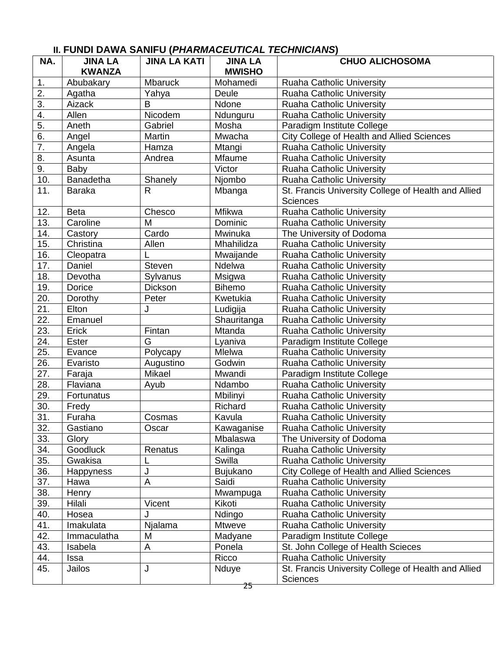| NA.               | <b>JINA LA</b>   | <b>JINA LA KATI</b> | <b>JINA LA</b> | <b>CHUO ALICHOSOMA</b>                              |
|-------------------|------------------|---------------------|----------------|-----------------------------------------------------|
|                   | <b>KWANZA</b>    |                     | <b>MWISHO</b>  |                                                     |
| 1.                | Abubakary        | <b>Mbaruck</b>      | Mohamedi       | <b>Ruaha Catholic University</b>                    |
| 2.                | Agatha           | Yahya               | Deule          | Ruaha Catholic University                           |
| 3.                | Aizack           | B                   | Ndone          | <b>Ruaha Catholic University</b>                    |
| 4.                | Allen            | Nicodem             | Ndunguru       | <b>Ruaha Catholic University</b>                    |
| 5.                | Aneth            | Gabriel             | Mosha          | Paradigm Institute College                          |
| 6.                | Angel            | Martin              | Mwacha         | City College of Health and Allied Sciences          |
| 7.                | Angela           | Hamza               | Mtangi         | Ruaha Catholic University                           |
| 8.                | Asunta           | Andrea              | <b>Mfaume</b>  | <b>Ruaha Catholic University</b>                    |
| 9.                | Baby             |                     | Victor         | <b>Ruaha Catholic University</b>                    |
| 10.               | Banadetha        | Shanely             | Njombo         | <b>Ruaha Catholic University</b>                    |
| 11.               | <b>Baraka</b>    | $\mathsf{R}$        | Mbanga         | St. Francis University College of Health and Allied |
|                   |                  |                     |                | <b>Sciences</b>                                     |
| 12.               | <b>Beta</b>      | Chesco              | Mfikwa         | Ruaha Catholic University                           |
| 13.               | Caroline         | M                   | Dominic        | <b>Ruaha Catholic University</b>                    |
| 14.               | Castory          | Cardo               | Mwinuka        | The University of Dodoma                            |
| 15.               | Christina        | Allen               | Mhahilidza     | <b>Ruaha Catholic University</b>                    |
| 16.               | Cleopatra        |                     | Mwaijande      | <b>Ruaha Catholic University</b>                    |
| 17.               | Daniel           | Steven              | Ndelwa         | Ruaha Catholic University                           |
| 18.               | Devotha          | Sylvanus            | Msigwa         | <b>Ruaha Catholic University</b>                    |
| 19.               | Dorice           | Dickson             | <b>Bihemo</b>  | <b>Ruaha Catholic University</b>                    |
| 20.               | Dorothy          | Peter               | Kwetukia       | <b>Ruaha Catholic University</b>                    |
| 21.               | Elton            | J                   | Ludigija       | <b>Ruaha Catholic University</b>                    |
| 22.               | Emanuel          |                     | Shauritanga    | Ruaha Catholic University                           |
| $\overline{23}$ . | Erick            | Fintan              | Mtanda         | <b>Ruaha Catholic University</b>                    |
| 24.               | <b>Ester</b>     | G                   | Lyaniva        | Paradigm Institute College                          |
| 25.               | Evance           | Polycapy            | Mlelwa         | Ruaha Catholic University                           |
| 26.               | Evaristo         | Augustino           | Godwin         | <b>Ruaha Catholic University</b>                    |
| 27.               | Faraja           | Mikael              | Mwandi         | Paradigm Institute College                          |
| 28.               | Flaviana         | Ayub                | Ndambo         | Ruaha Catholic University                           |
| 29.               | Fortunatus       |                     | Mbilinyi       | Ruaha Catholic University                           |
| 30.               | Fredy            |                     | Richard        | <b>Ruaha Catholic University</b>                    |
| 31.               | Furaha           | Cosmas              | Kavula         | <b>Ruaha Catholic University</b>                    |
| 32.               | Gastiano         | Oscar               | Kawaganise     | Ruaha Catholic University                           |
| 33.               | Glory            |                     | Mbalaswa       | The University of Dodoma                            |
| 34.               | Goodluck         | Renatus             | Kalinga        | Ruaha Catholic University                           |
| 35.               | Gwakisa          | L                   | Swilla         | <b>Ruaha Catholic University</b>                    |
| 36.               | <b>Happyness</b> | J                   | Bujukano       | City College of Health and Allied Sciences          |
| 37.               | Hawa             | А                   | Saidi          | Ruaha Catholic University                           |
| 38.               | Henry            |                     | Mwampuga       | Ruaha Catholic University                           |
| 39.               | Hilali           | Vicent              | Kikoti         | <b>Ruaha Catholic University</b>                    |
| 40.               | Hosea            | J                   | Ndingo         | Ruaha Catholic University                           |
| 41.               | Imakulata        | Njalama             | <b>Mtweve</b>  | <b>Ruaha Catholic University</b>                    |
| 42.               | Immaculatha      | M                   | Madyane        | Paradigm Institute College                          |
| 43.               | Isabela          | A                   | Ponela         | St. John College of Health Scieces                  |
| 44.               | Issa             |                     | Ricco          | <b>Ruaha Catholic University</b>                    |
| 45.               | Jailos           | J                   | Nduye          | St. Francis University College of Health and Allied |
|                   |                  |                     |                | <b>Sciences</b>                                     |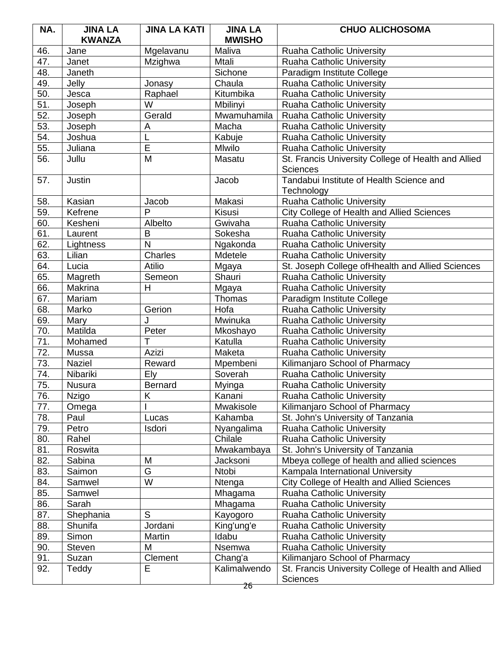| NA. | <b>JINA LA</b><br><b>KWANZA</b> | <b>JINA LA KATI</b> | <b>JINA LA</b><br><b>MWISHO</b> | <b>CHUO ALICHOSOMA</b>                              |
|-----|---------------------------------|---------------------|---------------------------------|-----------------------------------------------------|
| 46. | Jane                            | Mgelavanu           | Maliva                          | Ruaha Catholic University                           |
| 47. | Janet                           | Mzighwa             | <b>Mtali</b>                    | <b>Ruaha Catholic University</b>                    |
| 48. | Janeth                          |                     | Sichone                         | Paradigm Institute College                          |
| 49. | Jelly                           | Jonasy              | Chaula                          | <b>Ruaha Catholic University</b>                    |
| 50. | Jesca                           | Raphael             | Kitumbika                       | Ruaha Catholic University                           |
| 51. | Joseph                          | W                   | Mbilinyi                        | <b>Ruaha Catholic University</b>                    |
| 52. | Joseph                          | Gerald              | Mwamuhamila                     | <b>Ruaha Catholic University</b>                    |
| 53. | Joseph                          | A                   | Macha                           | Ruaha Catholic University                           |
| 54. | Joshua                          |                     | Kabuje                          | <b>Ruaha Catholic University</b>                    |
| 55. | Juliana                         | E                   | Mlwilo                          | <b>Ruaha Catholic University</b>                    |
| 56. | Jullu                           | M                   | Masatu                          | St. Francis University College of Health and Allied |
|     |                                 |                     |                                 | <b>Sciences</b>                                     |
| 57. | Justin                          |                     | Jacob                           | Tandabui Institute of Health Science and            |
|     |                                 |                     |                                 | Technology                                          |
| 58. | Kasian                          | Jacob               | Makasi                          | Ruaha Catholic University                           |
| 59. | Kefrene                         | P                   | <b>Kisusi</b>                   | <b>City College of Health and Allied Sciences</b>   |
| 60. | Kesheni                         | Albelto             | Gwivaha                         | Ruaha Catholic University                           |
| 61. | Laurent                         | B                   | Sokesha                         | <b>Ruaha Catholic University</b>                    |
| 62. | Lightness                       | N                   | Ngakonda                        | <b>Ruaha Catholic University</b>                    |
| 63. | Lilian                          | Charles             | Mdetele                         | Ruaha Catholic University                           |
| 64. | Lucia                           | <b>Atilio</b>       | Mgaya                           | St. Joseph College of Hhealth and Allied Sciences   |
| 65. | Magreth                         | Semeon              | Shauri                          | <b>Ruaha Catholic University</b>                    |
| 66. | Makrina                         | Η                   | Mgaya                           | <b>Ruaha Catholic University</b>                    |
| 67. | Mariam                          |                     | Thomas                          | Paradigm Institute College                          |
| 68. | Marko                           | Gerion              | Hofa                            | <b>Ruaha Catholic University</b>                    |
| 69. | Mary                            | J                   | Mwinuka                         | <b>Ruaha Catholic University</b>                    |
| 70. | Matilda                         | Peter               | Mkoshayo                        | Ruaha Catholic University                           |
| 71. | Mohamed                         | T                   | Katulla                         | Ruaha Catholic University                           |
| 72. | Mussa                           | Azizi               | Maketa                          | Ruaha Catholic University                           |
| 73. | <b>Naziel</b>                   | Reward              | Mpembeni                        | Kilimanjaro School of Pharmacy                      |
| 74. | Nibariki                        | Ely                 | Soverah                         | <b>Ruaha Catholic University</b>                    |
| 75. | Nusura                          | <b>Bernard</b>      | Myinga                          | <b>Ruaha Catholic University</b>                    |
| 76. | Nzigo                           | Κ                   | Kanani                          | Ruaha Catholic University                           |
| 77. | Omega                           |                     | <b>Mwakisole</b>                | Kilimanjaro School of Pharmacy                      |
| 78. | Paul                            | Lucas               | Kahamba                         | St. John's University of Tanzania                   |
| 79. | Petro                           | Isdori              | Nyangalima                      | Ruaha Catholic University                           |
| 80. | Rahel                           |                     | Chilale                         | Ruaha Catholic University                           |
| 81. | Roswita                         |                     | Mwakambaya                      | St. John's University of Tanzania                   |
| 82. | Sabina                          | M                   | Jacksoni                        | Mbeya college of health and allied sciences         |
| 83. | Saimon                          | G                   | Ntobi                           | Kampala International University                    |
| 84. | Samwel                          | W                   | Ntenga                          | City College of Health and Allied Sciences          |
| 85. | Samwel                          |                     | Mhagama                         | Ruaha Catholic University                           |
| 86. | Sarah                           |                     | Mhagama                         | <b>Ruaha Catholic University</b>                    |
| 87. | Shephania                       | S                   | Kayogoro                        | Ruaha Catholic University                           |
| 88. | Shunifa                         | Jordani             | King'ung'e                      | Ruaha Catholic University                           |
| 89. | Simon                           | Martin              | Idabu                           | <b>Ruaha Catholic University</b>                    |
| 90. | <b>Steven</b>                   | M                   | Nsemwa                          | Ruaha Catholic University                           |
| 91. | Suzan                           | Clement             | Chang'a                         | Kilimanjaro School of Pharmacy                      |
| 92. | Teddy                           | E                   | Kalimalwendo                    | St. Francis University College of Health and Allied |
|     |                                 |                     | 26                              | <b>Sciences</b>                                     |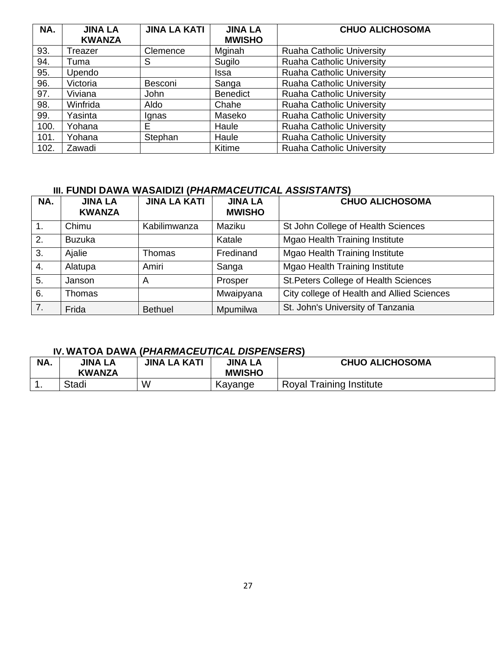| NA.  | <b>JINA LA</b> | <b>JINA LA KATI</b> | <b>JINA LA</b>  | <b>CHUO ALICHOSOMA</b>           |
|------|----------------|---------------------|-----------------|----------------------------------|
|      | <b>KWANZA</b>  |                     | <b>MWISHO</b>   |                                  |
| 93.  | Treazer        | Clemence            | Mginah          | <b>Ruaha Catholic University</b> |
| 94.  | Tuma           | S                   | Sugilo          | <b>Ruaha Catholic University</b> |
| 95.  | Upendo         |                     | Issa            | <b>Ruaha Catholic University</b> |
| 96.  | Victoria       | Besconi             | Sanga           | <b>Ruaha Catholic University</b> |
| 97.  | Viviana        | John                | <b>Benedict</b> | <b>Ruaha Catholic University</b> |
| 98.  | Winfrida       | Aldo                | Chahe           | <b>Ruaha Catholic University</b> |
| 99.  | Yasinta        | Ignas               | Maseko          | <b>Ruaha Catholic University</b> |
| 100. | Yohana         | E                   | Haule           | Ruaha Catholic University        |
| 101. | Yohana         | Stephan             | Haule           | <b>Ruaha Catholic University</b> |
| 102. | Zawadi         |                     | Kitime          | <b>Ruaha Catholic University</b> |

| NA. | <b>JINA LA</b><br><b>KWANZA</b> | <b>JINA LA KATI</b> | <b>JINA LA</b><br><b>MWISHO</b> | <b>CHUO ALICHOSOMA</b>                     |
|-----|---------------------------------|---------------------|---------------------------------|--------------------------------------------|
| 1.  | Chimu                           | Kabilimwanza        | Maziku                          | St John College of Health Sciences         |
| 2.  | <b>Buzuka</b>                   |                     | Katale                          | <b>Mgao Health Training Institute</b>      |
| 3.  | Ajalie                          | Thomas              | Fredinand                       | Mgao Health Training Institute             |
| 4.  | Alatupa                         | Amiri               | Sanga                           | <b>Mgao Health Training Institute</b>      |
| 5.  | Janson                          | A                   | Prosper                         | St. Peters College of Health Sciences      |
| 6.  | Thomas                          |                     | Mwaipyana                       | City college of Health and Allied Sciences |
| 7.  | Frida                           | <b>Bethuel</b>      | Mpumilwa                        | St. John's University of Tanzania          |

### **IV. WATOA DAWA (***PHARMACEUTICAL DISPENSERS***)**

| NA. | <b>JINA LA</b><br><b>KWANZA</b> | <b>JINA LA KATI</b> | <b>JINA LA</b><br><b>MWISHO</b> | <b>CHUO ALICHOSOMA</b>          |
|-----|---------------------------------|---------------------|---------------------------------|---------------------------------|
|     | Stadi                           | W                   | Kayange                         | <b>Royal Training Institute</b> |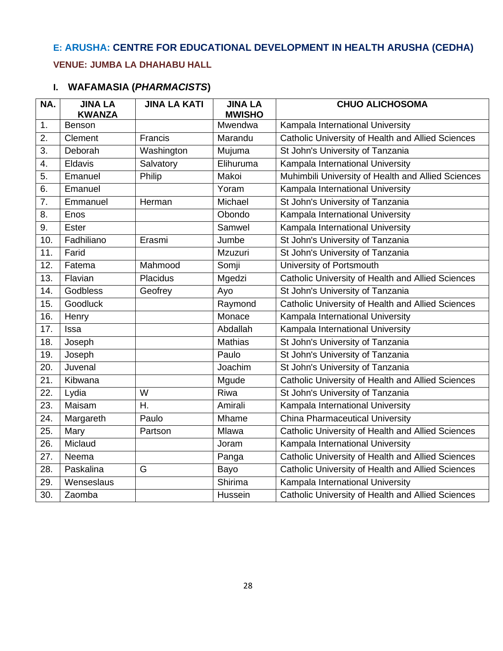# **E: ARUSHA: CENTRE FOR EDUCATIONAL DEVELOPMENT IN HEALTH ARUSHA (CEDHA)**

### **VENUE: JUMBA LA DHAHABU HALL**

| NA.               | <b>JINA LA</b><br><b>KWANZA</b> | <b>JINA LA KATI</b> | <b>JINA LA</b><br><b>MWISHO</b> | <b>CHUO ALICHOSOMA</b>                                   |
|-------------------|---------------------------------|---------------------|---------------------------------|----------------------------------------------------------|
| 1.                | Benson                          |                     | Mwendwa                         | Kampala International University                         |
| 2.                | Clement                         | Francis             | Marandu                         | <b>Catholic University of Health and Allied Sciences</b> |
| 3.                | Deborah                         | Washington          | Mujuma                          | St John's University of Tanzania                         |
| 4.                | Eldavis                         | Salvatory           | Elihuruma                       | Kampala International University                         |
| 5.                | Emanuel                         | Philip              | Makoi                           | Muhimbili University of Health and Allied Sciences       |
| 6.                | Emanuel                         |                     | Yoram                           | Kampala International University                         |
| 7.                | Emmanuel                        | Herman              | Michael                         | St John's University of Tanzania                         |
| 8.                | Enos                            |                     | Obondo                          | Kampala International University                         |
| 9.                | <b>Ester</b>                    |                     | Samwel                          | Kampala International University                         |
| 10.               | Fadhiliano                      | Erasmi              | Jumbe                           | St John's University of Tanzania                         |
| 11.               | Farid                           |                     | Mzuzuri                         | St John's University of Tanzania                         |
| 12.               | Fatema                          | Mahmood             | Somji                           | University of Portsmouth                                 |
| 13.               | Flavian                         | Placidus            | Mgedzi                          | Catholic University of Health and Allied Sciences        |
| 14.               | Godbless                        | Geofrey             | Ayo                             | St John's University of Tanzania                         |
| 15.               | Goodluck                        |                     | Raymond                         | Catholic University of Health and Allied Sciences        |
| 16.               | Henry                           |                     | Monace                          | Kampala International University                         |
| 17.               | Issa                            |                     | Abdallah                        | Kampala International University                         |
| 18.               | Joseph                          |                     | <b>Mathias</b>                  | St John's University of Tanzania                         |
| 19.               | Joseph                          |                     | Paulo                           | St John's University of Tanzania                         |
| 20.               | Juvenal                         |                     | Joachim                         | St John's University of Tanzania                         |
| 21.               | Kibwana                         |                     | Mgude                           | Catholic University of Health and Allied Sciences        |
| 22.               | Lydia                           | W                   | Riwa                            | St John's University of Tanzania                         |
| 23.               | Maisam                          | Η.                  | Amirali                         | Kampala International University                         |
| 24.               | Margareth                       | Paulo               | Mhame                           | <b>China Pharmaceutical University</b>                   |
| $\overline{25}$ . | Mary                            | Partson             | Mlawa                           | Catholic University of Health and Allied Sciences        |
| 26.               | Miclaud                         |                     | Joram                           | Kampala International University                         |
| 27.               | Neema                           |                     | Panga                           | Catholic University of Health and Allied Sciences        |
| 28.               | Paskalina                       | G                   | Bayo                            | Catholic University of Health and Allied Sciences        |
| 29.               | Wenseslaus                      |                     | Shirima                         | Kampala International University                         |
| 30.               | Zaomba                          |                     | Hussein                         | Catholic University of Health and Allied Sciences        |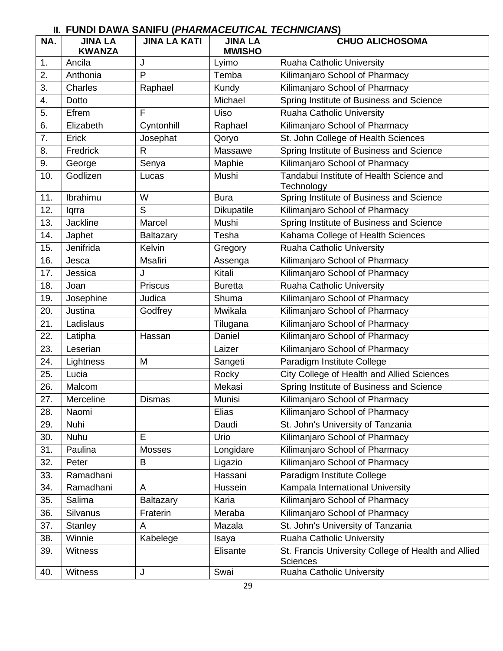| NA. | <b>JINA LA</b><br><b>KWANZA</b> | <b>JINA LA KATI</b> | <b>JINA LA</b><br><b>MWISHO</b> | <b>CHUO ALICHOSOMA</b>                                 |
|-----|---------------------------------|---------------------|---------------------------------|--------------------------------------------------------|
| 1.  | Ancila                          | J                   | Lyimo                           | Ruaha Catholic University                              |
| 2.  | Anthonia                        | P                   | Temba                           | Kilimanjaro School of Pharmacy                         |
| 3.  | Charles                         | Raphael             | Kundy                           | Kilimanjaro School of Pharmacy                         |
| 4.  | Dotto                           |                     | Michael                         | Spring Institute of Business and Science               |
| 5.  | Efrem                           | F                   | Uiso                            | Ruaha Catholic University                              |
| 6.  | Elizabeth                       | Cyntonhill          | Raphael                         | Kilimanjaro School of Pharmacy                         |
| 7.  | Erick                           | Josephat            | Qoryo                           | St. John College of Health Sciences                    |
| 8.  | Fredrick                        | R                   | Massawe                         | Spring Institute of Business and Science               |
| 9.  | George                          | Senya               | Maphie                          | Kilimanjaro School of Pharmacy                         |
| 10. | Godlizen                        | Lucas               | Mushi                           | Tandabui Institute of Health Science and<br>Technology |
| 11. | Ibrahimu                        | W                   | <b>Bura</b>                     | Spring Institute of Business and Science               |
| 12. | lqrra                           | S                   | Dikupatile                      | Kilimanjaro School of Pharmacy                         |
| 13. | Jackline                        | Marcel              | Mushi                           | Spring Institute of Business and Science               |
| 14. | Japhet                          | Baltazary           | Tesha                           | Kahama College of Health Sciences                      |
| 15. | Jenifrida                       | Kelvin              | Gregory                         | <b>Ruaha Catholic University</b>                       |
| 16. | Jesca                           | Msafiri             | Assenga                         | Kilimanjaro School of Pharmacy                         |
| 17. | Jessica                         | J                   | Kitali                          | Kilimanjaro School of Pharmacy                         |
| 18. | Joan                            | <b>Priscus</b>      | <b>Buretta</b>                  | Ruaha Catholic University                              |
| 19. | Josephine                       | Judica              | Shuma                           | Kilimanjaro School of Pharmacy                         |
| 20. | Justina                         | Godfrey             | Mwikala                         | Kilimanjaro School of Pharmacy                         |
| 21. | Ladislaus                       |                     | Tilugana                        | Kilimanjaro School of Pharmacy                         |
| 22. | Latipha                         | Hassan              | Daniel                          | Kilimanjaro School of Pharmacy                         |
| 23. | Leserian                        |                     | Laizer                          | Kilimanjaro School of Pharmacy                         |
| 24. | Lightness                       | M                   | Sangeti                         | Paradigm Institute College                             |
| 25. | Lucia                           |                     | Rocky                           | City College of Health and Allied Sciences             |
| 26. | Malcom                          |                     | Mekasi                          | Spring Institute of Business and Science               |
| 27. | Merceline                       | <b>Dismas</b>       | Munisi                          | Kilimanjaro School of Pharmacy                         |
| 28. | Naomi                           |                     | Elias                           | Kilimanjaro School of Pharmacy                         |
| 29. | Nuhi                            |                     | Daudi                           | St. John's University of Tanzania                      |
| 30. | Nuhu                            | E                   | Urio                            | Kilimanjaro School of Pharmacy                         |
| 31. | Paulina                         | Mosses              | Longidare                       | Kilimanjaro School of Pharmacy                         |
| 32. | Peter                           | B                   | Ligazio                         | Kilimanjaro School of Pharmacy                         |
| 33. | Ramadhani                       |                     | Hassani                         | Paradigm Institute College                             |
| 34. | Ramadhani                       | A                   | Hussein                         | Kampala International University                       |
| 35. | Salima                          | Baltazary           | Karia                           | Kilimanjaro School of Pharmacy                         |
| 36. | Silvanus                        | Fraterin            | Meraba                          | Kilimanjaro School of Pharmacy                         |
| 37. | Stanley                         | A                   | Mazala                          | St. John's University of Tanzania                      |
| 38. | Winnie                          | Kabelege            | Isaya                           | Ruaha Catholic University                              |
| 39. | Witness                         |                     | Elisante                        | St. Francis University College of Health and Allied    |
|     |                                 |                     |                                 | <b>Sciences</b>                                        |
| 40. | Witness                         | J                   | Swai                            | Ruaha Catholic University                              |